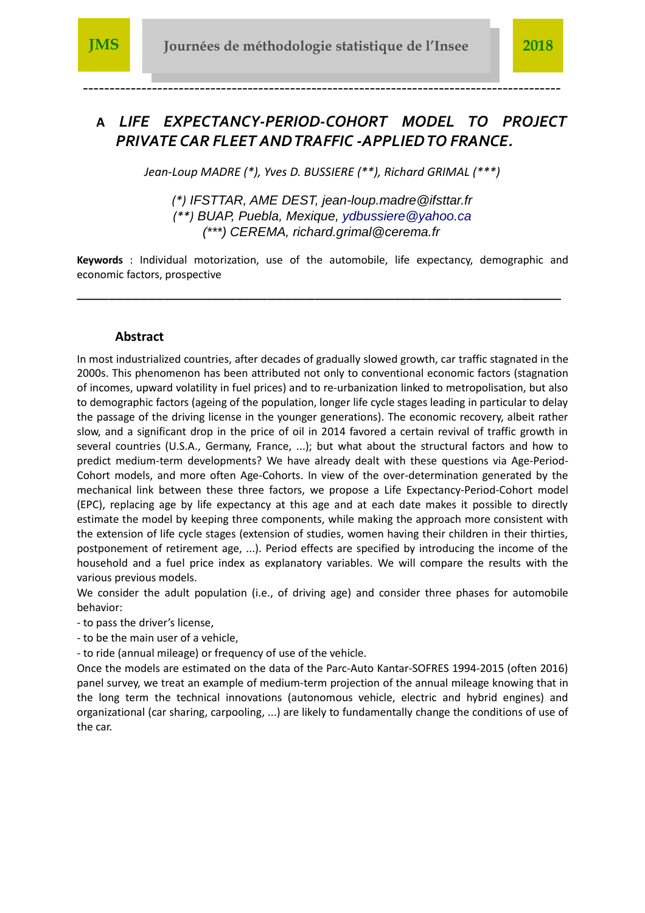

*------------------------------------------------------------------------------------------*

# **A** *LIFE EXPECTANCY-PERIOD-COHORT MODEL TO PROJECT PRIVATE CAR FLEET AND TRAFFIC -APPLIED TO FRANCE.*

*Jean-Loup MADRE (\*), Yves D. BUSSIERE (\*\*), Richard GRIMAL (\*\*\*)*

*(\*)* IFSTTAR, AME DEST, jean-loup.madre@ifsttar.fr *(\*\*)* BUAP, Puebla, Mexique, ydbussiere@yahoo.ca (\*\*\*) CEREMA, richard.grimal@cerema.fr

**Keywords** : Individual motorization, use of the automobile, life expectancy, demographic and economic factors, prospective

*\_\_\_\_\_\_\_\_\_\_\_\_\_\_\_\_\_\_\_\_\_\_\_\_\_\_\_\_\_\_\_\_\_\_\_\_\_\_\_\_\_\_\_\_\_\_\_\_\_\_\_\_\_\_\_\_\_\_\_\_\_*

#### **Abstract**

In most industrialized countries, after decades of gradually slowed growth, car traffic stagnated in the 2000s. This phenomenon has been attributed not only to conventional economic factors (stagnation of incomes, upward volatility in fuel prices) and to re-urbanization linked to metropolisation, but also to demographic factors (ageing of the population, longer life cycle stages leading in particular to delay the passage of the driving license in the younger generations). The economic recovery, albeit rather slow, and a significant drop in the price of oil in 2014 favored a certain revival of traffic growth in several countries (U.S.A., Germany, France, ...); but what about the structural factors and how to predict medium-term developments? We have already dealt with these questions via Age-Period-Cohort models, and more often Age-Cohorts. In view of the over-determination generated by the mechanical link between these three factors, we propose a Life Expectancy-Period-Cohort model (EPC), replacing age by life expectancy at this age and at each date makes it possible to directly estimate the model by keeping three components, while making the approach more consistent with the extension of life cycle stages (extension of studies, women having their children in their thirties, postponement of retirement age, ...). Period effects are specified by introducing the income of the household and a fuel price index as explanatory variables. We will compare the results with the various previous models.

We consider the adult population (i.e., of driving age) and consider three phases for automobile behavior:

- to pass the driver's license,

- to be the main user of a vehicle,

- to ride (annual mileage) or frequency of use of the vehicle.

Once the models are estimated on the data of the Parc-Auto Kantar-SOFRES 1994-2015 (often 2016) panel survey, we treat an example of medium-term projection of the annual mileage knowing that in the long term the technical innovations (autonomous vehicle, electric and hybrid engines) and organizational (car sharing, carpooling, ...) are likely to fundamentally change the conditions of use of the car.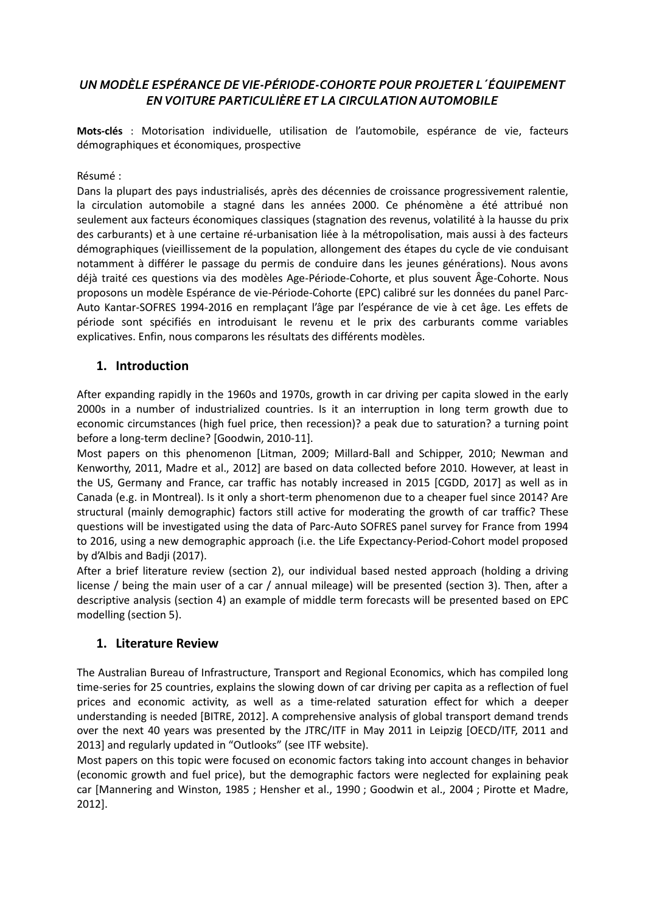## *UN MODÈLE ESPÉRANCE DE VIE-PÉRIODE-COHORTE POUR PROJETER L´ÉQUIPEMENT EN VOITURE PARTICULIÈRE ET LA CIRCULATION AUTOMOBILE*

**Mots-clés** : Motorisation individuelle, utilisation de l'automobile, espérance de vie, facteurs démographiques et économiques, prospective

#### Résumé :

Dans la plupart des pays industrialisés, après des décennies de croissance progressivement ralentie, la circulation automobile a stagné dans les années 2000. Ce phénomène a été attribué non seulement aux facteurs économiques classiques (stagnation des revenus, volatilité à la hausse du prix des carburants) et à une certaine ré-urbanisation liée à la métropolisation, mais aussi à des facteurs démographiques (vieillissement de la population, allongement des étapes du cycle de vie conduisant notamment à différer le passage du permis de conduire dans les jeunes générations). Nous avons déjà traité ces questions via des modèles Age-Période-Cohorte, et plus souvent Âge-Cohorte. Nous proposons un modèle Espérance de vie-Période-Cohorte (EPC) calibré sur les données du panel Parc-Auto Kantar-SOFRES 1994-2016 en remplaçant l'âge par l'espérance de vie à cet âge. Les effets de période sont spécifiés en introduisant le revenu et le prix des carburants comme variables explicatives. Enfin, nous comparons les résultats des différents modèles.

### **1. Introduction**

After expanding rapidly in the 1960s and 1970s, growth in car driving per capita slowed in the early 2000s in a number of industrialized countries. Is it an interruption in long term growth due to economic circumstances (high fuel price, then recession)? a peak due to saturation? a turning point before a long-term decline? [Goodwin, 2010-11].

Most papers on this phenomenon [Litman, 2009; Millard-Ball and Schipper, 2010; Newman and Kenworthy, 2011, Madre et al., 2012] are based on data collected before 2010. However, at least in the US, Germany and France, car traffic has notably increased in 2015 [CGDD, 2017] as well as in Canada (e.g. in Montreal). Is it only a short-term phenomenon due to a cheaper fuel since 2014? Are structural (mainly demographic) factors still active for moderating the growth of car traffic? These questions will be investigated using the data of Parc-Auto SOFRES panel survey for France from 1994 to 2016, using a new demographic approach (i.e. the Life Expectancy-Period-Cohort model proposed by d'Albis and Badji (2017).

After a brief literature review (section 2), our individual based nested approach (holding a driving license / being the main user of a car / annual mileage) will be presented (section 3). Then, after a descriptive analysis (section 4) an example of middle term forecasts will be presented based on EPC modelling (section 5).

#### **1. Literature Review**

The Australian Bureau of Infrastructure, Transport and Regional Economics, which has compiled long time-series for 25 countries, explains the slowing down of car driving per capita as a reflection of fuel prices and economic activity, as well as a time-related saturation effect for which a deeper understanding is needed [BITRE, 2012]. A comprehensive analysis of global transport demand trends over the next 40 years was presented by the JTRC/ITF in May 2011 in Leipzig [OECD/ITF, 2011 and 2013] and regularly updated in "Outlooks" (see ITF website).

Most papers on this topic were focused on economic factors taking into account changes in behavior (economic growth and fuel price), but the demographic factors were neglected for explaining peak car [Mannering and Winston, 1985 ; Hensher et al., 1990 ; Goodwin et al., 2004 ; Pirotte et Madre, 2012].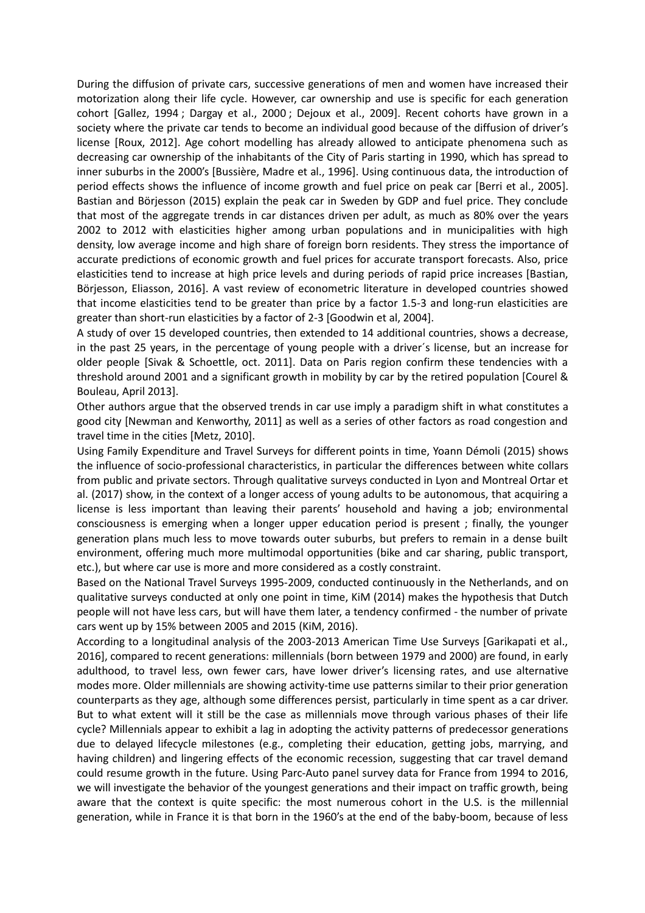During the diffusion of private cars, successive generations of men and women have increased their motorization along their life cycle. However, car ownership and use is specific for each generation cohort [Gallez, 1994 ; Dargay et al., 2000 ; Dejoux et al., 2009]. Recent cohorts have grown in a society where the private car tends to become an individual good because of the diffusion of driver's license [Roux, 2012]. Age cohort modelling has already allowed to anticipate phenomena such as decreasing car ownership of the inhabitants of the City of Paris starting in 1990, which has spread to inner suburbs in the 2000's [Bussière, Madre et al., 1996]. Using continuous data, the introduction of period effects shows the influence of income growth and fuel price on peak car [Berri et al., 2005]. Bastian and Börjesson (2015) explain the peak car in Sweden by GDP and fuel price. They conclude that most of the aggregate trends in car distances driven per adult, as much as 80% over the years 2002 to 2012 with elasticities higher among urban populations and in municipalities with high density, low average income and high share of foreign born residents. They stress the importance of accurate predictions of economic growth and fuel prices for accurate transport forecasts. Also, price elasticities tend to increase at high price levels and during periods of rapid price increases [Bastian, Börjesson, Eliasson, 2016]. A vast review of econometric literature in developed countries showed that income elasticities tend to be greater than price by a factor 1.5-3 and long-run elasticities are greater than short-run elasticities by a factor of 2-3 [Goodwin et al, 2004].

A study of over 15 developed countries, then extended to 14 additional countries, shows a decrease, in the past 25 years, in the percentage of young people with a driver´s license, but an increase for older people [Sivak & Schoettle, oct. 2011]. Data on Paris region confirm these tendencies with a threshold around 2001 and a significant growth in mobility by car by the retired population [Courel & Bouleau, April 2013].

Other authors argue that the observed trends in car use imply a paradigm shift in what constitutes a good city [Newman and Kenworthy, 2011] as well as a series of other factors as road congestion and travel time in the cities [Metz, 2010].

Using Family Expenditure and Travel Surveys for different points in time, Yoann Démoli (2015) shows the influence of socio-professional characteristics, in particular the differences between white collars from public and private sectors. Through qualitative surveys conducted in Lyon and Montreal Ortar et al. (2017) show, in the context of a longer access of young adults to be autonomous, that acquiring a license is less important than leaving their parents' household and having a job; environmental consciousness is emerging when a longer upper education period is present ; finally, the younger generation plans much less to move towards outer suburbs, but prefers to remain in a dense built environment, offering much more multimodal opportunities (bike and car sharing, public transport, etc.), but where car use is more and more considered as a costly constraint.

Based on the National Travel Surveys 1995-2009, conducted continuously in the Netherlands, and on qualitative surveys conducted at only one point in time, KiM (2014) makes the hypothesis that Dutch people will not have less cars, but will have them later, a tendency confirmed - the number of private cars went up by 15% between 2005 and 2015 (KiM, 2016).

According to a longitudinal analysis of the 2003-2013 American Time Use Surveys [Garikapati et al., 2016], compared to recent generations: millennials (born between 1979 and 2000) are found, in early adulthood, to travel less, own fewer cars, have lower driver's licensing rates, and use alternative modes more. Older millennials are showing activity-time use patterns similar to their prior generation counterparts as they age, although some differences persist, particularly in time spent as a car driver. But to what extent will it still be the case as millennials move through various phases of their life cycle? Millennials appear to exhibit a lag in adopting the activity patterns of predecessor generations due to delayed lifecycle milestones (e.g., completing their education, getting jobs, marrying, and having children) and lingering effects of the economic recession, suggesting that car travel demand could resume growth in the future. Using Parc-Auto panel survey data for France from 1994 to 2016, we will investigate the behavior of the youngest generations and their impact on traffic growth, being aware that the context is quite specific: the most numerous cohort in the U.S. is the millennial generation, while in France it is that born in the 1960's at the end of the baby-boom, because of less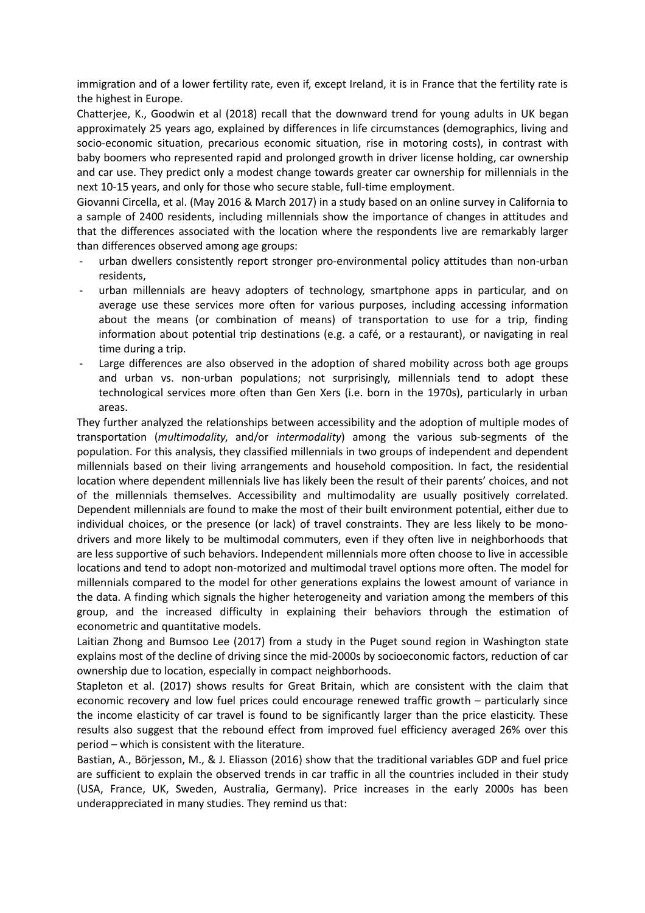immigration and of a lower fertility rate, even if, except Ireland, it is in France that the fertility rate is the highest in Europe.

Chatterjee, K., Goodwin et al (2018) recall that the downward trend for young adults in UK began approximately 25 years ago, explained by differences in life circumstances (demographics, living and socio-economic situation, precarious economic situation, rise in motoring costs), in contrast with baby boomers who represented rapid and prolonged growth in driver license holding, car ownership and car use. They predict only a modest change towards greater car ownership for millennials in the next 10-15 years, and only for those who secure stable, full-time employment.

Giovanni Circella, et al. (May 2016 & March 2017) in a study based on an online survey in California to a sample of 2400 residents, including millennials show the importance of changes in attitudes and that the differences associated with the location where the respondents live are remarkably larger than differences observed among age groups:

- urban dwellers consistently report stronger pro-environmental policy attitudes than non-urban residents,
- urban millennials are heavy adopters of technology, smartphone apps in particular, and on average use these services more often for various purposes, including accessing information about the means (or combination of means) of transportation to use for a trip, finding information about potential trip destinations (e.g. a café, or a restaurant), or navigating in real time during a trip.
- Large differences are also observed in the adoption of shared mobility across both age groups and urban vs. non-urban populations; not surprisingly, millennials tend to adopt these technological services more often than Gen Xers (i.e. born in the 1970s), particularly in urban areas.

They further analyzed the relationships between accessibility and the adoption of multiple modes of transportation (*multimodality*, and/or *intermodality*) among the various sub-segments of the population. For this analysis, they classified millennials in two groups of independent and dependent millennials based on their living arrangements and household composition. In fact, the residential location where dependent millennials live has likely been the result of their parents' choices, and not of the millennials themselves. Accessibility and multimodality are usually positively correlated. Dependent millennials are found to make the most of their built environment potential, either due to individual choices, or the presence (or lack) of travel constraints. They are less likely to be monodrivers and more likely to be multimodal commuters, even if they often live in neighborhoods that are less supportive of such behaviors. Independent millennials more often choose to live in accessible locations and tend to adopt non-motorized and multimodal travel options more often. The model for millennials compared to the model for other generations explains the lowest amount of variance in the data. A finding which signals the higher heterogeneity and variation among the members of this group, and the increased difficulty in explaining their behaviors through the estimation of econometric and quantitative models.

Laitian Zhong and Bumsoo Lee (2017) from a study in the Puget sound region in Washington state explains most of the decline of driving since the mid-2000s by socioeconomic factors, reduction of car ownership due to location, especially in compact neighborhoods.

Stapleton et al. (2017) shows results for Great Britain, which are consistent with the claim that economic recovery and low fuel prices could encourage renewed traffic growth – particularly since the income elasticity of car travel is found to be significantly larger than the price elasticity. These results also suggest that the rebound effect from improved fuel efficiency averaged 26% over this period – which is consistent with the literature.

Bastian, A., Börjesson, M., & J. Eliasson (2016) show that the traditional variables GDP and fuel price are sufficient to explain the observed trends in car traffic in all the countries included in their study (USA, France, UK, Sweden, Australia, Germany). Price increases in the early 2000s has been underappreciated in many studies. They remind us that: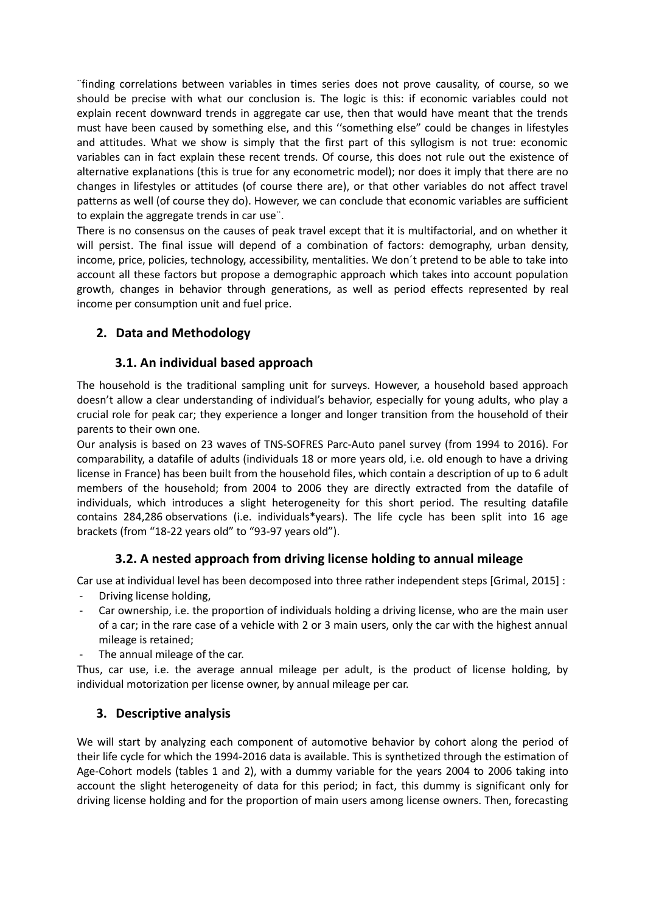¨finding correlations between variables in times series does not prove causality, of course, so we should be precise with what our conclusion is. The logic is this: if economic variables could not explain recent downward trends in aggregate car use, then that would have meant that the trends must have been caused by something else, and this ''something else" could be changes in lifestyles and attitudes. What we show is simply that the first part of this syllogism is not true: economic variables can in fact explain these recent trends. Of course, this does not rule out the existence of alternative explanations (this is true for any econometric model); nor does it imply that there are no changes in lifestyles or attitudes (of course there are), or that other variables do not affect travel patterns as well (of course they do). However, we can conclude that economic variables are sufficient to explain the aggregate trends in car use¨.

There is no consensus on the causes of peak travel except that it is multifactorial, and on whether it will persist. The final issue will depend of a combination of factors: demography, urban density, income, price, policies, technology, accessibility, mentalities. We don´t pretend to be able to take into account all these factors but propose a demographic approach which takes into account population growth, changes in behavior through generations, as well as period effects represented by real income per consumption unit and fuel price.

# **2. Data and Methodology**

## **3.1. An individual based approach**

The household is the traditional sampling unit for surveys. However, a household based approach doesn't allow a clear understanding of individual's behavior, especially for young adults, who play a crucial role for peak car; they experience a longer and longer transition from the household of their parents to their own one.

Our analysis is based on 23 waves of TNS-SOFRES Parc-Auto panel survey (from 1994 to 2016). For comparability, a datafile of adults (individuals 18 or more years old, i.e. old enough to have a driving license in France) has been built from the household files, which contain a description of up to 6 adult members of the household; from 2004 to 2006 they are directly extracted from the datafile of individuals, which introduces a slight heterogeneity for this short period. The resulting datafile contains 284,286 observations (i.e. individuals\*years). The life cycle has been split into 16 age brackets (from "18-22 years old" to "93-97 years old").

# **3.2. A nested approach from driving license holding to annual mileage**

Car use at individual level has been decomposed into three rather independent steps [Grimal, 2015] :

- Driving license holding,
- Car ownership, i.e. the proportion of individuals holding a driving license, who are the main user of a car; in the rare case of a vehicle with 2 or 3 main users, only the car with the highest annual mileage is retained;
- The annual mileage of the car.

Thus, car use, i.e. the average annual mileage per adult, is the product of license holding, by individual motorization per license owner, by annual mileage per car.

## **3. Descriptive analysis**

We will start by analyzing each component of automotive behavior by cohort along the period of their life cycle for which the 1994-2016 data is available. This is synthetized through the estimation of Age-Cohort models (tables 1 and 2), with a dummy variable for the years 2004 to 2006 taking into account the slight heterogeneity of data for this period; in fact, this dummy is significant only for driving license holding and for the proportion of main users among license owners. Then, forecasting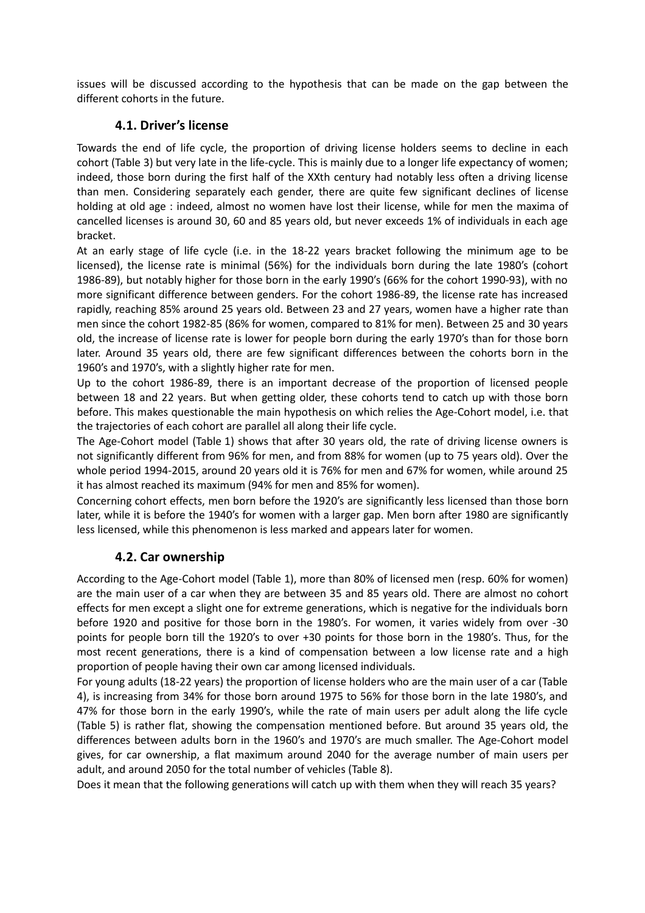issues will be discussed according to the hypothesis that can be made on the gap between the different cohorts in the future.

## **4.1. Driver's license**

Towards the end of life cycle, the proportion of driving license holders seems to decline in each cohort (Table 3) but very late in the life-cycle. This is mainly due to a longer life expectancy of women; indeed, those born during the first half of the XXth century had notably less often a driving license than men. Considering separately each gender, there are quite few significant declines of license holding at old age : indeed, almost no women have lost their license, while for men the maxima of cancelled licenses is around 30, 60 and 85 years old, but never exceeds 1% of individuals in each age bracket.

At an early stage of life cycle (i.e. in the 18-22 years bracket following the minimum age to be licensed), the license rate is minimal (56%) for the individuals born during the late 1980's (cohort 1986-89), but notably higher for those born in the early 1990's (66% for the cohort 1990-93), with no more significant difference between genders. For the cohort 1986-89, the license rate has increased rapidly, reaching 85% around 25 years old. Between 23 and 27 years, women have a higher rate than men since the cohort 1982-85 (86% for women, compared to 81% for men). Between 25 and 30 years old, the increase of license rate is lower for people born during the early 1970's than for those born later. Around 35 years old, there are few significant differences between the cohorts born in the 1960's and 1970's, with a slightly higher rate for men.

Up to the cohort 1986-89, there is an important decrease of the proportion of licensed people between 18 and 22 years. But when getting older, these cohorts tend to catch up with those born before. This makes questionable the main hypothesis on which relies the Age-Cohort model, i.e. that the trajectories of each cohort are parallel all along their life cycle.

The Age-Cohort model (Table 1) shows that after 30 years old, the rate of driving license owners is not significantly different from 96% for men, and from 88% for women (up to 75 years old). Over the whole period 1994-2015, around 20 years old it is 76% for men and 67% for women, while around 25 it has almost reached its maximum (94% for men and 85% for women).

Concerning cohort effects, men born before the 1920's are significantly less licensed than those born later, while it is before the 1940's for women with a larger gap. Men born after 1980 are significantly less licensed, while this phenomenon is less marked and appears later for women.

# **4.2. Car ownership**

According to the Age-Cohort model (Table 1), more than 80% of licensed men (resp. 60% for women) are the main user of a car when they are between 35 and 85 years old. There are almost no cohort effects for men except a slight one for extreme generations, which is negative for the individuals born before 1920 and positive for those born in the 1980's. For women, it varies widely from over -30 points for people born till the 1920's to over +30 points for those born in the 1980's. Thus, for the most recent generations, there is a kind of compensation between a low license rate and a high proportion of people having their own car among licensed individuals.

For young adults (18-22 years) the proportion of license holders who are the main user of a car (Table 4), is increasing from 34% for those born around 1975 to 56% for those born in the late 1980's, and 47% for those born in the early 1990's, while the rate of main users per adult along the life cycle (Table 5) is rather flat, showing the compensation mentioned before. But around 35 years old, the differences between adults born in the 1960's and 1970's are much smaller. The Age-Cohort model gives, for car ownership, a flat maximum around 2040 for the average number of main users per adult, and around 2050 for the total number of vehicles (Table 8).

Does it mean that the following generations will catch up with them when they will reach 35 years?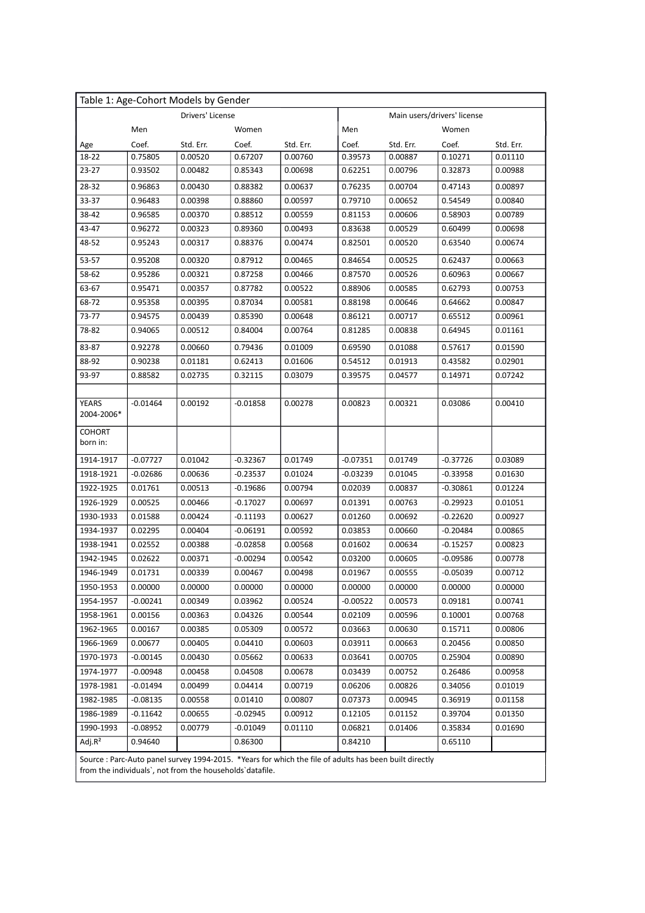|                            |            | Table 1: Age-Cohort Models by Gender |            |           |            |                             |            |           |
|----------------------------|------------|--------------------------------------|------------|-----------|------------|-----------------------------|------------|-----------|
|                            |            | Drivers' License                     |            |           |            | Main users/drivers' license |            |           |
|                            | Men        |                                      | Women      |           | Men        |                             | Women      |           |
| Age                        | Coef.      | Std. Err.                            | Coef.      | Std. Err. | Coef.      | Std. Err.                   | Coef.      | Std. Err. |
| 18-22                      | 0.75805    | 0.00520                              | 0.67207    | 0.00760   | 0.39573    | 0.00887                     | 0.10271    | 0.01110   |
| 23-27                      | 0.93502    | 0.00482                              | 0.85343    | 0.00698   | 0.62251    | 0.00796                     | 0.32873    | 0.00988   |
| 28-32                      | 0.96863    | 0.00430                              | 0.88382    | 0.00637   | 0.76235    | 0.00704                     | 0.47143    | 0.00897   |
| 33-37                      | 0.96483    | 0.00398                              | 0.88860    | 0.00597   | 0.79710    | 0.00652                     | 0.54549    | 0.00840   |
| 38-42                      | 0.96585    | 0.00370                              | 0.88512    | 0.00559   | 0.81153    | 0.00606                     | 0.58903    | 0.00789   |
| 43-47                      | 0.96272    | 0.00323                              | 0.89360    | 0.00493   | 0.83638    | 0.00529                     | 0.60499    | 0.00698   |
| 48-52                      | 0.95243    | 0.00317                              | 0.88376    | 0.00474   | 0.82501    | 0.00520                     | 0.63540    | 0.00674   |
| 53-57                      | 0.95208    | 0.00320                              | 0.87912    | 0.00465   | 0.84654    | 0.00525                     | 0.62437    | 0.00663   |
| 58-62                      | 0.95286    | 0.00321                              | 0.87258    | 0.00466   | 0.87570    | 0.00526                     | 0.60963    | 0.00667   |
| 63-67                      | 0.95471    | 0.00357                              | 0.87782    | 0.00522   | 0.88906    | 0.00585                     | 0.62793    | 0.00753   |
| 68-72                      | 0.95358    | 0.00395                              | 0.87034    | 0.00581   | 0.88198    | 0.00646                     | 0.64662    | 0.00847   |
| 73-77                      | 0.94575    | 0.00439                              | 0.85390    | 0.00648   | 0.86121    | 0.00717                     | 0.65512    | 0.00961   |
| 78-82                      | 0.94065    | 0.00512                              | 0.84004    | 0.00764   | 0.81285    | 0.00838                     | 0.64945    | 0.01161   |
| 83-87                      | 0.92278    | 0.00660                              | 0.79436    | 0.01009   | 0.69590    | 0.01088                     | 0.57617    | 0.01590   |
| 88-92                      | 0.90238    | 0.01181                              | 0.62413    | 0.01606   | 0.54512    | 0.01913                     | 0.43582    | 0.02901   |
| 93-97                      | 0.88582    | 0.02735                              | 0.32115    | 0.03079   | 0.39575    | 0.04577                     | 0.14971    | 0.07242   |
|                            |            |                                      |            |           |            |                             |            |           |
| <b>YEARS</b><br>2004-2006* | $-0.01464$ | 0.00192                              | $-0.01858$ | 0.00278   | 0.00823    | 0.00321                     | 0.03086    | 0.00410   |
| <b>COHORT</b><br>born in:  |            |                                      |            |           |            |                             |            |           |
| 1914-1917                  | $-0.07727$ | 0.01042                              | $-0.32367$ | 0.01749   | $-0.07351$ | 0.01749                     | $-0.37726$ | 0.03089   |
| 1918-1921                  | $-0.02686$ | 0.00636                              | -0.23537   | 0.01024   | $-0.03239$ | 0.01045                     | $-0.33958$ | 0.01630   |
| 1922-1925                  | 0.01761    | 0.00513                              | $-0.19686$ | 0.00794   | 0.02039    | 0.00837                     | -0.30861   | 0.01224   |
| 1926-1929                  | 0.00525    | 0.00466                              | $-0.17027$ | 0.00697   | 0.01391    | 0.00763                     | $-0.29923$ | 0.01051   |
| 1930-1933                  | 0.01588    | 0.00424                              | $-0.11193$ | 0.00627   | 0.01260    | 0.00692                     | $-0.22620$ | 0.00927   |
| 1934-1937                  | 0.02295    | 0.00404                              | $-0.06191$ | 0.00592   | 0.03853    | 0.00660                     | $-0.20484$ | 0.00865   |
| 1938-1941                  | 0.02552    | 0.00388                              | $-0.02858$ | 0.00568   | 0.01602    | 0.00634                     | $-0.15257$ | 0.00823   |
| 1942-1945                  | 0.02622    | 0.00371                              | $-0.00294$ | 0.00542   | 0.03200    | 0.00605                     | -0.09586   | 0.00778   |
| 1946-1949                  | 0.01731    | 0.00339                              | 0.00467    | 0.00498   | 0.01967    | 0.00555                     | $-0.05039$ | 0.00712   |
| 1950-1953                  | 0.00000    | 0.00000                              | 0.00000    | 0.00000   | 0.00000    | 0.00000                     | 0.00000    | 0.00000   |
| 1954-1957                  | $-0.00241$ | 0.00349                              | 0.03962    | 0.00524   | $-0.00522$ | 0.00573                     | 0.09181    | 0.00741   |
| 1958-1961                  | 0.00156    | 0.00363                              | 0.04326    | 0.00544   | 0.02109    | 0.00596                     | 0.10001    | 0.00768   |
| 1962-1965                  | 0.00167    | 0.00385                              | 0.05309    | 0.00572   | 0.03663    | 0.00630                     | 0.15711    | 0.00806   |
| 1966-1969                  | 0.00677    | 0.00405                              | 0.04410    | 0.00603   | 0.03911    | 0.00663                     | 0.20456    | 0.00850   |
| 1970-1973                  | $-0.00145$ | 0.00430                              | 0.05662    | 0.00633   | 0.03641    | 0.00705                     | 0.25904    | 0.00890   |
| 1974-1977                  | $-0.00948$ | 0.00458                              | 0.04508    | 0.00678   | 0.03439    | 0.00752                     | 0.26486    | 0.00958   |
| 1978-1981                  | $-0.01494$ | 0.00499                              | 0.04414    | 0.00719   | 0.06206    | 0.00826                     | 0.34056    | 0.01019   |
| 1982-1985                  | $-0.08135$ | 0.00558                              | 0.01410    | 0.00807   | 0.07373    | 0.00945                     | 0.36919    | 0.01158   |
| 1986-1989                  | $-0.11642$ | 0.00655                              | $-0.02945$ | 0.00912   | 0.12105    | 0.01152                     | 0.39704    | 0.01350   |
| 1990-1993                  | $-0.08952$ | 0.00779                              | -0.01049   | 0.01110   | 0.06821    | 0.01406                     | 0.35834    | 0.01690   |
| $Adj.R^2$                  | 0.94640    |                                      | 0.86300    |           | 0.84210    |                             | 0.65110    |           |
|                            |            |                                      |            |           |            |                             |            |           |

Source : Parc-Auto panel survey 1994-2015. \*Years for which the file of adults has been built directly from the individuals`, not from the households`datafile.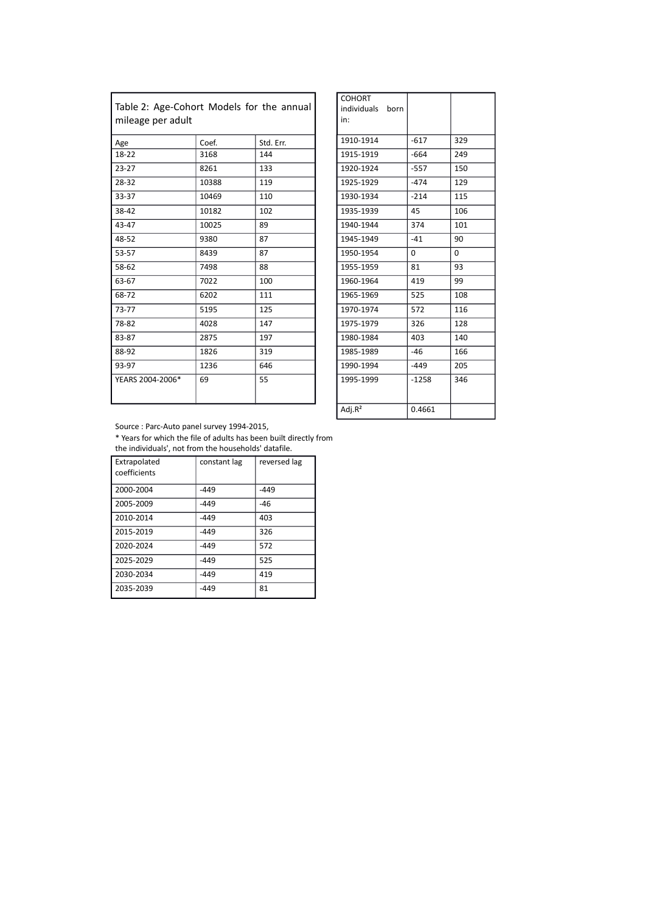| Table 2: Age-Cohort Models for the annual<br>mileage per adult |       |           | individuals born<br>in: |          |          |
|----------------------------------------------------------------|-------|-----------|-------------------------|----------|----------|
| Age                                                            | Coef. | Std. Err. | 1910-1914               | $-617$   | 329      |
| 18-22                                                          | 3168  | 144       | 1915-1919               | $-664$   | 249      |
| $23 - 27$                                                      | 8261  | 133       | 1920-1924               | $-557$   | 150      |
| 28-32                                                          | 10388 | 119       | 1925-1929               | $-474$   | 129      |
| 33-37                                                          | 10469 | 110       | 1930-1934               | $-214$   | 115      |
| 38-42                                                          | 10182 | 102       | 1935-1939               | 45       | 106      |
| 43-47                                                          | 10025 | 89        | 1940-1944               | 374      | 101      |
| 48-52                                                          | 9380  | 87        | 1945-1949               | $-41$    | 90       |
| 53-57                                                          | 8439  | 87        | 1950-1954               | $\Omega$ | $\Omega$ |
| 58-62                                                          | 7498  | 88        | 1955-1959               | 81       | 93       |
| 63-67                                                          | 7022  | 100       | 1960-1964               | 419      | 99       |
| 68-72                                                          | 6202  | 111       | 1965-1969               | 525      | 108      |
| $73 - 77$                                                      | 5195  | 125       | 1970-1974               | 572      | 116      |
| 78-82                                                          | 4028  | 147       | 1975-1979               | 326      | 128      |
| 83-87                                                          | 2875  | 197       | 1980-1984               | 403      | 140      |
| 88-92                                                          | 1826  | 319       | 1985-1989               | $-46$    | 166      |
| 93-97                                                          | 1236  | 646       | 1990-1994               | $-449$   | 205      |
| YEARS 2004-2006*                                               | 69    | 55        | 1995-1999               | $-1258$  | 346      |

| <b>COHORT</b>    |         |     |
|------------------|---------|-----|
| individuals born |         |     |
| in:              |         |     |
| 1910-1914        | $-617$  | 329 |
| 1915-1919        | $-664$  | 249 |
| 1920-1924        | $-557$  | 150 |
| 1925-1929        | $-474$  | 129 |
| 1930-1934        | $-214$  | 115 |
| 1935-1939        | 45      | 106 |
| 1940-1944        | 374     | 101 |
| 1945-1949        | $-41$   | 90  |
| 1950-1954        | 0       | 0   |
| 1955-1959        | 81      | 93  |
| 1960-1964        | 419     | 99  |
| 1965-1969        | 525     | 108 |
| 1970-1974        | 572     | 116 |
| 1975-1979        | 326     | 128 |
| 1980-1984        | 403     | 140 |
| 1985-1989        | $-46$   | 166 |
| 1990-1994        | $-449$  | 205 |
| 1995-1999        | $-1258$ | 346 |
|                  |         |     |
| Adj. $R^2$       | 0.4661  |     |

Source : Parc-Auto panel survey 1994-2015,

\* Years for which the file of adults has been built directly from the individuals', not from the households' datafile.

| Extrapolated<br>coefficients | constant lag | reversed lag |
|------------------------------|--------------|--------------|
| 2000-2004                    | $-449$       | $-449$       |
| 2005-2009                    | $-449$       | $-46$        |
| 2010-2014                    | $-449$       | 403          |
| 2015-2019                    | $-449$       | 326          |
| 2020-2024                    | $-449$       | 572          |
| 2025-2029                    | $-449$       | 525          |
| 2030-2034                    | $-449$       | 419          |
| 2035-2039                    | $-449$       | 81           |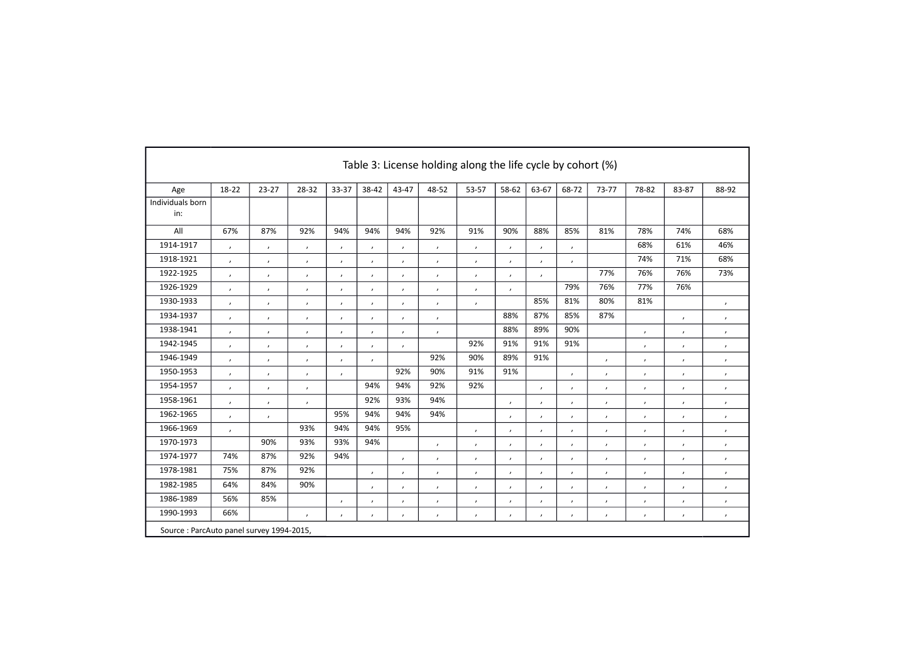|                                          | Table 3: License holding along the life cycle by cohort (%) |                          |                          |                          |                |               |                |               |               |               |                            |               |               |                |                |
|------------------------------------------|-------------------------------------------------------------|--------------------------|--------------------------|--------------------------|----------------|---------------|----------------|---------------|---------------|---------------|----------------------------|---------------|---------------|----------------|----------------|
| Age                                      | 18-22                                                       | $23 - 27$                | 28-32                    | 33-37                    | 38-42          | 43-47         | 48-52          | 53-57         | 58-62         | 63-67         | 68-72                      | 73-77         | 78-82         | 83-87          | 88-92          |
| Individuals born<br>in:                  |                                                             |                          |                          |                          |                |               |                |               |               |               |                            |               |               |                |                |
| All                                      | 67%                                                         | 87%                      | 92%                      | 94%                      | 94%            | 94%           | 92%            | 91%           | 90%           | 88%           | 85%                        | 81%           | 78%           | 74%            | 68%            |
| 1914-1917                                | $\pmb{\cdot}$                                               | $\pmb{\cdot}$            | $\prime$                 | $\prime$                 | $\prime$       | $\pmb{\cdot}$ | $\pmb{\prime}$ | $\pmb{\cdot}$ | $\pmb{\cdot}$ | $\pmb{\cdot}$ | $\pmb{r}$                  |               | 68%           | 61%            | 46%            |
| 1918-1921                                | $\prime$                                                    | $\lambda$                | $\overline{\phantom{a}}$ | $\prime$                 | $\lambda$      | $\pmb{\cdot}$ | $\pmb{\cdot}$  | $\pmb{\cdot}$ | $\mathbf{r}$  | $\mathbf{r}$  | $\boldsymbol{\mathcal{L}}$ |               | 74%           | 71%            | 68%            |
| 1922-1925                                | $\prime$                                                    | $\pmb{\cdot}$            | $\prime$                 | $\prime$                 | $\prime$       | $\pmb{\cdot}$ | $\pmb{\cdot}$  | $\pmb{\cdot}$ | $\pmb{\cdot}$ | $\pmb{\cdot}$ |                            | 77%           | 76%           | 76%            | 73%            |
| 1926-1929                                | $\pmb{\cdot}$                                               | $\pmb{\cdot}$            | $\pmb{\cdot}$            | $\prime$                 | $\prime$       | $\pmb{\cdot}$ | $\pmb{\cdot}$  | $\pmb{\cdot}$ | $\pmb{\cdot}$ |               | 79%                        | 76%           | 77%           | 76%            |                |
| 1930-1933                                | $\prime$                                                    | $\overline{\phantom{a}}$ | $\prime$                 | $\lambda$                | $\lambda$      | $\pmb{\cdot}$ | $\pmb{\cdot}$  | $\pmb{\cdot}$ |               | 85%           | 81%                        | 80%           | 81%           |                | $\prime$       |
| 1934-1937                                | $\prime$                                                    | $\pmb{\cdot}$            | $\pmb{\cdot}$            | $\prime$                 | $\pmb{\cdot}$  | $\pmb{\cdot}$ | $\pmb{\prime}$ |               | 88%           | 87%           | 85%                        | 87%           |               | $\pmb{\cdot}$  | $\pmb{\cdot}$  |
| 1938-1941                                | $\pmb{\cdot}$                                               | $\prime$                 | $\prime$                 | $\prime$                 | $\prime$       | $\pmb{\cdot}$ | $\pmb{\cdot}$  |               | 88%           | 89%           | 90%                        |               | $\prime$      | $\pmb{\cdot}$  | $\prime$       |
| 1942-1945                                | $\prime$                                                    | $\lambda$                | $\overline{\phantom{a}}$ | $\lambda$                | $\lambda$      | $\prime$      |                | 92%           | 91%           | 91%           | 91%                        |               | $\cdot$       | $\pmb{\cdot}$  | $\prime$       |
| 1946-1949                                | $\prime$                                                    | $\pmb{\cdot}$            | $\prime$                 | $\overline{\phantom{a}}$ | $\lambda$      |               | 92%            | 90%           | 89%           | 91%           |                            | $\prime$      | $\prime$      | $\pmb{\cdot}$  | $\pmb{\cdot}$  |
| 1950-1953                                | $\pmb{\cdot}$                                               | $\pmb{\cdot}$            | $\prime$                 | $\pmb{\cdot}$            |                | 92%           | 90%            | 91%           | 91%           |               | $\pmb{r}$                  | $\pmb{\cdot}$ | $\prime$      | $\pmb{\cdot}$  | $\pmb{\prime}$ |
| 1954-1957                                | $\prime$                                                    | $\overline{\phantom{a}}$ | $\prime$                 |                          | 94%            | 94%           | 92%            | 92%           |               | $\mathbf{r}$  | $\boldsymbol{\mathcal{L}}$ | $\prime$      | $\prime$      | $\pmb{\cdot}$  | $\pmb{\cdot}$  |
| 1958-1961                                | $\prime$                                                    | $\pmb{\cdot}$            | $\prime$                 |                          | 92%            | 93%           | 94%            |               | $\pmb{\cdot}$ | $\mathbf{r}$  | $\prime$                   | $\prime$      | $\pmb{\cdot}$ | $\pmb{\cdot}$  | $\pmb{\cdot}$  |
| 1962-1965                                | $\pmb{\cdot}$                                               | $\pmb{\cdot}$            |                          | 95%                      | 94%            | 94%           | 94%            |               | $\pmb{\cdot}$ | $\pmb{\cdot}$ | $\pmb{r}$                  | $\pmb{\cdot}$ | $\prime$      | $\pmb{\cdot}$  | $\pmb{\prime}$ |
| 1966-1969                                | $\prime$                                                    |                          | 93%                      | 94%                      | 94%            | 95%           |                | $\pmb{\cdot}$ | $\mathbf{r}$  | $\mathbf{r}$  | $\lambda$                  | $\prime$      | $\prime$      | $\pmb{\cdot}$  | $\prime$       |
| 1970-1973                                |                                                             | 90%                      | 93%                      | 93%                      | 94%            |               | $\pmb{\cdot}$  | $\pmb{\cdot}$ | $\pmb{\cdot}$ | $\mathbf{r}$  | $\mathbf{r}$               | $\prime$      | $\pmb{\cdot}$ | $\pmb{\cdot}$  | $\pmb{\cdot}$  |
| 1974-1977                                | 74%                                                         | 87%                      | 92%                      | 94%                      |                | $\pmb{\cdot}$ | $\pmb{\cdot}$  | $\pmb{\cdot}$ | $\pmb{\cdot}$ | $\pmb{\cdot}$ | $\pmb{r}$                  | $\pmb{\cdot}$ | $\prime$      | $\pmb{\cdot}$  | $\pmb{\prime}$ |
| 1978-1981                                | 75%                                                         | 87%                      | 92%                      |                          | $\lambda$      | $\lambda$     | $\pmb{\cdot}$  | $\pmb{\cdot}$ | $\mathbf{r}$  | $\mathbf{r}$  | $\boldsymbol{\mathcal{L}}$ | $\prime$      | $\prime$      | $\pmb{\cdot}$  | $\prime$       |
| 1982-1985                                | 64%                                                         | 84%                      | 90%                      |                          | $\pmb{\cdot}$  | $\pmb{\cdot}$ | $\pmb{\cdot}$  | $\pmb{\cdot}$ | $\pmb{\cdot}$ | $\mathbf{r}$  | $\prime$                   | $\prime$      | $\pmb{\cdot}$ | $\pmb{\cdot}$  | $\pmb{\cdot}$  |
| 1986-1989                                | 56%                                                         | 85%                      |                          | $\prime$                 | $\pmb{\prime}$ | $\pmb{\cdot}$ | $\pmb{\cdot}$  | $\pmb{\cdot}$ | $\pmb{\cdot}$ | $\pmb{\cdot}$ | $\pmb{r}$                  | $\pmb{\cdot}$ | $\prime$      | $\pmb{\prime}$ | $\pmb{\cdot}$  |
| 1990-1993                                | 66%                                                         |                          | $\prime$                 | $\lambda$                | $\prime$       | $\pmb{\cdot}$ | $\pmb{\cdot}$  | $\pmb{\cdot}$ | $\pmb{\cdot}$ | $\pmb{\cdot}$ | $\prime$                   | $\prime$      | $\pmb{\cdot}$ | $\pmb{\cdot}$  | $\pmb{\cdot}$  |
| Source: ParcAuto panel survey 1994-2015, |                                                             |                          |                          |                          |                |               |                |               |               |               |                            |               |               |                |                |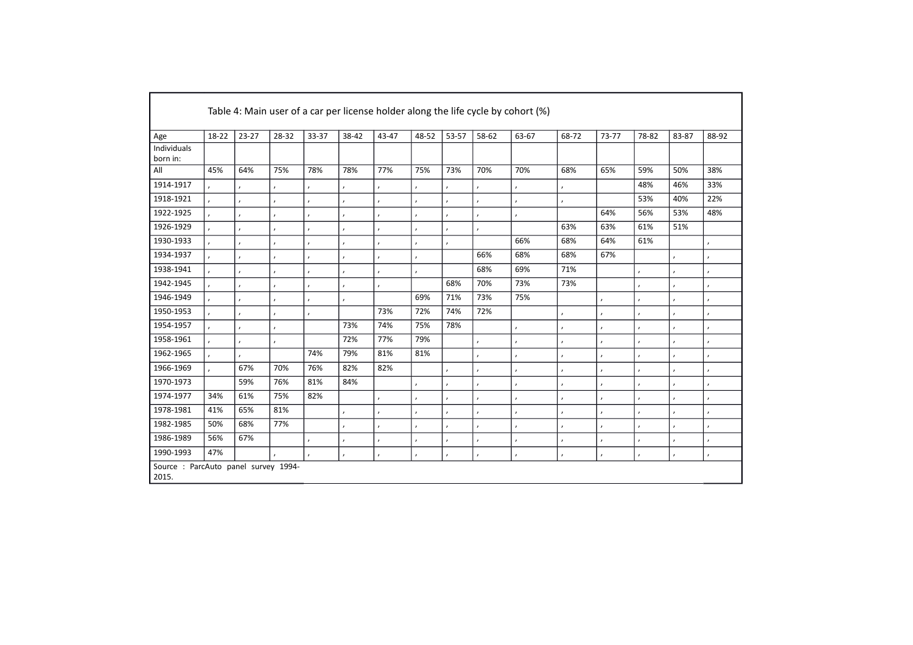|                                               | Table 4: Main user of a car per license holder along the life cycle by cohort (%) |           |               |           |           |           |           |           |           |           |           |               |           |           |           |
|-----------------------------------------------|-----------------------------------------------------------------------------------|-----------|---------------|-----------|-----------|-----------|-----------|-----------|-----------|-----------|-----------|---------------|-----------|-----------|-----------|
| Age                                           | 18-22                                                                             | $23 - 27$ | 28-32         | 33-37     | 38-42     | 43-47     | 48-52     | 53-57     | 58-62     | 63-67     | 68-72     | 73-77         | 78-82     | 83-87     | 88-92     |
| Individuals<br>born in:                       |                                                                                   |           |               |           |           |           |           |           |           |           |           |               |           |           |           |
| All                                           | 45%                                                                               | 64%       | 75%           | 78%       | 78%       | 77%       | 75%       | 73%       | 70%       | 70%       | 68%       | 65%           | 59%       | 50%       | 38%       |
| 1914-1917                                     |                                                                                   | $\lambda$ | $\pmb{\cdot}$ | $\lambda$ | $\lambda$ | $\lambda$ |           |           | $\lambda$ |           |           |               | 48%       | 46%       | 33%       |
| 1918-1921                                     | $\overline{ }$                                                                    | $\lambda$ | $\pmb{\cdot}$ | $\lambda$ | $\lambda$ |           | $\lambda$ |           | $\lambda$ | $\lambda$ |           |               | 53%       | 40%       | 22%       |
| 1922-1925                                     |                                                                                   | $\lambda$ | $\lambda$     | $\lambda$ | $\lambda$ | $\lambda$ | $\lambda$ | $\lambda$ | $\lambda$ | $\lambda$ |           | 64%           | 56%       | 53%       | 48%       |
| 1926-1929                                     |                                                                                   | $\lambda$ | $\lambda$     | $\lambda$ | $\lambda$ | $\lambda$ | $\lambda$ | $\lambda$ | $\lambda$ |           | 63%       | 63%           | 61%       | 51%       |           |
| 1930-1933                                     | $\lambda$                                                                         | $\lambda$ | $\pmb{\cdot}$ | $\lambda$ | $\lambda$ |           | $\lambda$ |           |           | 66%       | 68%       | 64%           | 61%       |           | $\lambda$ |
| 1934-1937                                     |                                                                                   | $\lambda$ | $\lambda$     | $\lambda$ | $\lambda$ | $\lambda$ | $\lambda$ |           | 66%       | 68%       | 68%       | 67%           |           | $\lambda$ | $\lambda$ |
| 1938-1941                                     |                                                                                   | $\lambda$ | $\lambda$     | $\lambda$ | $\lambda$ | $\lambda$ | $\lambda$ |           | 68%       | 69%       | 71%       |               | $\lambda$ | $\lambda$ | $\lambda$ |
| 1942-1945                                     | $\lambda$                                                                         |           | $\pmb{\cdot}$ | $\lambda$ | $\lambda$ |           |           | 68%       | 70%       | 73%       | 73%       |               |           | $\lambda$ | $\lambda$ |
| 1946-1949                                     |                                                                                   | $\lambda$ | $\lambda$     | $\lambda$ | $\lambda$ |           | 69%       | 71%       | 73%       | 75%       |           | $\pmb{\cdot}$ | $\lambda$ | $\lambda$ | $\lambda$ |
| 1950-1953                                     |                                                                                   | $\lambda$ | $\pmb{\cdot}$ | $\lambda$ |           | 73%       | 72%       | 74%       | 72%       |           | $\lambda$ | $\lambda$     | $\lambda$ | $\lambda$ | $\lambda$ |
| 1954-1957                                     | $\lambda$                                                                         | $\lambda$ | $\pmb{\cdot}$ |           | 73%       | 74%       | 75%       | 78%       |           | $\lambda$ |           | $\lambda$     | $\lambda$ | $\lambda$ | $\lambda$ |
| 1958-1961                                     |                                                                                   | $\lambda$ | $\lambda$     |           | 72%       | 77%       | 79%       |           | $\lambda$ | $\lambda$ | $\lambda$ | $\pmb{\cdot}$ | $\lambda$ | $\lambda$ | $\lambda$ |
| 1962-1965                                     |                                                                                   | $\lambda$ |               | 74%       | 79%       | 81%       | 81%       |           | $\lambda$ | $\lambda$ | $\lambda$ | $\pmb{\cdot}$ | ,         | $\lambda$ | $\lambda$ |
| 1966-1969                                     |                                                                                   | 67%       | 70%           | 76%       | 82%       | 82%       |           |           | $\lambda$ | $\lambda$ |           | $\lambda$     | $\lambda$ | $\lambda$ | $\lambda$ |
| 1970-1973                                     |                                                                                   | 59%       | 76%           | 81%       | 84%       |           | $\lambda$ | $\cdot$   | $\lambda$ | $\lambda$ | $\lambda$ | $\pmb{\cdot}$ | $\lambda$ | $\lambda$ | $\lambda$ |
| 1974-1977                                     | 34%                                                                               | 61%       | 75%           | 82%       |           | $\lambda$ | $\lambda$ | $\lambda$ | $\lambda$ | $\lambda$ | $\lambda$ | $\pmb{\cdot}$ | $\lambda$ | $\lambda$ | $\lambda$ |
| 1978-1981                                     | 41%                                                                               | 65%       | 81%           |           | $\lambda$ |           | $\lambda$ |           |           | $\lambda$ |           | $\lambda$     | $\lambda$ | $\lambda$ | $\lambda$ |
| 1982-1985                                     | 50%                                                                               | 68%       | 77%           |           | $\lambda$ | $\lambda$ | $\lambda$ | $\lambda$ | $\lambda$ | $\lambda$ | $\lambda$ | $\pmb{\cdot}$ | $\lambda$ | $\lambda$ | $\lambda$ |
| 1986-1989                                     | 56%                                                                               | 67%       |               |           | $\lambda$ | $\lambda$ | $\lambda$ | $\lambda$ | $\lambda$ | $\lambda$ | $\lambda$ | $\lambda$     | ,         | $\lambda$ | $\lambda$ |
| 1990-1993                                     | 47%                                                                               |           |               | $\cdot$   | $\lambda$ |           | $\lambda$ | $\lambda$ | $\lambda$ | $\lambda$ |           | $\lambda$     | $\lambda$ | $\lambda$ | $\prime$  |
| Source : ParcAuto panel survey 1994-<br>2015. |                                                                                   |           |               |           |           |           |           |           |           |           |           |               |           |           |           |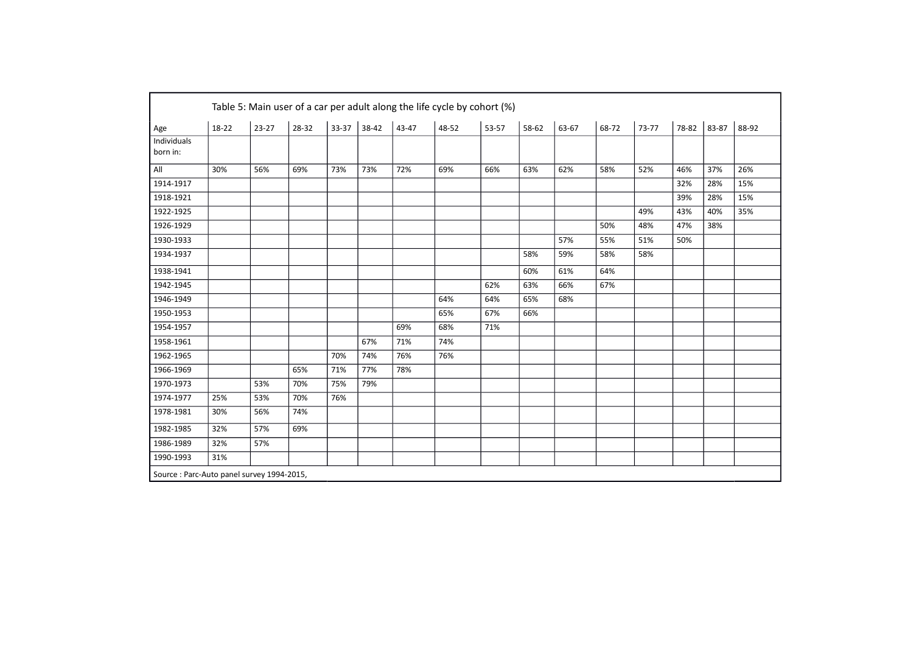| Age                     | 18-22 | $23 - 27$ | 28-32 | 33-37 | 38-42 | 43-47 | 48-52 | 53-57 | 58-62 | 63-67 | 68-72 | 73-77 | 78-82 | 83-87 | 88-92 |
|-------------------------|-------|-----------|-------|-------|-------|-------|-------|-------|-------|-------|-------|-------|-------|-------|-------|
| Individuals<br>born in: |       |           |       |       |       |       |       |       |       |       |       |       |       |       |       |
| All                     | 30%   | 56%       | 69%   | 73%   | 73%   | 72%   | 69%   | 66%   | 63%   | 62%   | 58%   | 52%   | 46%   | 37%   | 26%   |
| 1914-1917               |       |           |       |       |       |       |       |       |       |       |       |       | 32%   | 28%   | 15%   |
| 1918-1921               |       |           |       |       |       |       |       |       |       |       |       |       | 39%   | 28%   | 15%   |
| 1922-1925               |       |           |       |       |       |       |       |       |       |       |       | 49%   | 43%   | 40%   | 35%   |
| 1926-1929               |       |           |       |       |       |       |       |       |       |       | 50%   | 48%   | 47%   | 38%   |       |
| 1930-1933               |       |           |       |       |       |       |       |       |       | 57%   | 55%   | 51%   | 50%   |       |       |
| 1934-1937               |       |           |       |       |       |       |       |       | 58%   | 59%   | 58%   | 58%   |       |       |       |
| 1938-1941               |       |           |       |       |       |       |       |       | 60%   | 61%   | 64%   |       |       |       |       |
| 1942-1945               |       |           |       |       |       |       |       | 62%   | 63%   | 66%   | 67%   |       |       |       |       |
| 1946-1949               |       |           |       |       |       |       | 64%   | 64%   | 65%   | 68%   |       |       |       |       |       |
| 1950-1953               |       |           |       |       |       |       | 65%   | 67%   | 66%   |       |       |       |       |       |       |
| 1954-1957               |       |           |       |       |       | 69%   | 68%   | 71%   |       |       |       |       |       |       |       |
| 1958-1961               |       |           |       |       | 67%   | 71%   | 74%   |       |       |       |       |       |       |       |       |
| 1962-1965               |       |           |       | 70%   | 74%   | 76%   | 76%   |       |       |       |       |       |       |       |       |
| 1966-1969               |       |           | 65%   | 71%   | 77%   | 78%   |       |       |       |       |       |       |       |       |       |
| 1970-1973               |       | 53%       | 70%   | 75%   | 79%   |       |       |       |       |       |       |       |       |       |       |
| 1974-1977               | 25%   | 53%       | 70%   | 76%   |       |       |       |       |       |       |       |       |       |       |       |
| 1978-1981               | 30%   | 56%       | 74%   |       |       |       |       |       |       |       |       |       |       |       |       |
| 1982-1985               | 32%   | 57%       | 69%   |       |       |       |       |       |       |       |       |       |       |       |       |
| 1986-1989               | 32%   | 57%       |       |       |       |       |       |       |       |       |       |       |       |       |       |
| 1990-1993               | 31%   |           |       |       |       |       |       |       |       |       |       |       |       |       |       |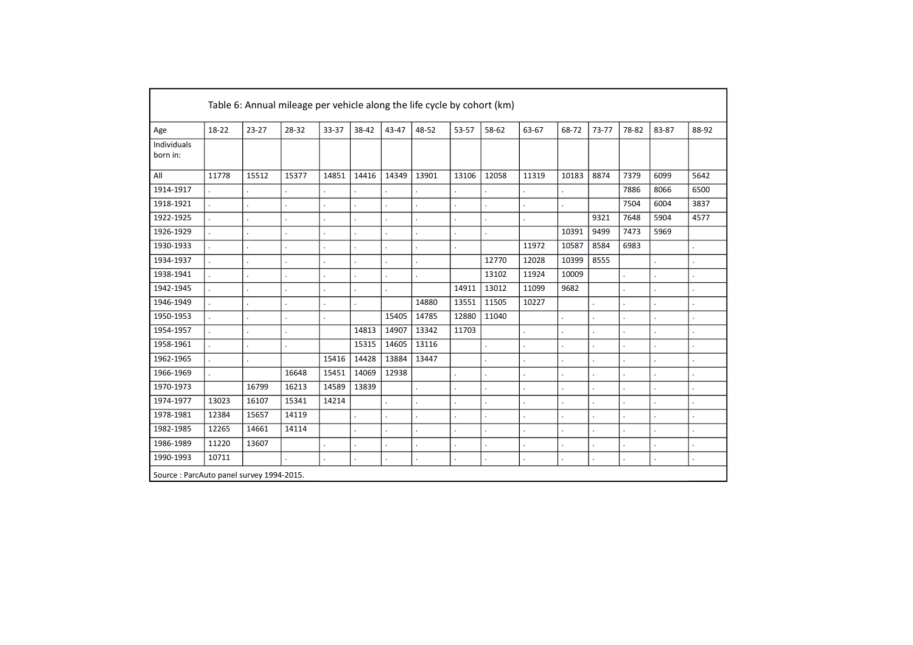|                                          | Table 6: Annual mileage per vehicle along the life cycle by cohort (km) |                          |       |       |       |       |         |         |         |       |       |         |         |         |       |
|------------------------------------------|-------------------------------------------------------------------------|--------------------------|-------|-------|-------|-------|---------|---------|---------|-------|-------|---------|---------|---------|-------|
| Age                                      | 18-22                                                                   | $23 - 27$                | 28-32 | 33-37 | 38-42 | 43-47 | 48-52   | 53-57   | 58-62   | 63-67 | 68-72 | 73-77   | 78-82   | 83-87   | 88-92 |
| Individuals<br>born in:                  |                                                                         |                          |       |       |       |       |         |         |         |       |       |         |         |         |       |
| All                                      | 11778                                                                   | 15512                    | 15377 | 14851 | 14416 | 14349 | 13901   | 13106   | 12058   | 11319 | 10183 | 8874    | 7379    | 6099    | 5642  |
| 1914-1917                                |                                                                         |                          |       |       |       |       |         |         |         |       |       |         | 7886    | 8066    | 6500  |
| 1918-1921                                |                                                                         | $\cdot$                  |       |       |       |       | $\cdot$ |         |         |       |       |         | 7504    | 6004    | 3837  |
| 1922-1925                                |                                                                         |                          |       |       |       |       |         |         |         |       |       | 9321    | 7648    | 5904    | 4577  |
| 1926-1929                                |                                                                         |                          |       |       |       |       |         |         |         |       | 10391 | 9499    | 7473    | 5969    |       |
| 1930-1933                                |                                                                         | $\cdot$                  |       |       |       |       | $\cdot$ |         |         | 11972 | 10587 | 8584    | 6983    |         |       |
| 1934-1937                                |                                                                         | $\overline{\phantom{a}}$ |       |       |       |       |         |         | 12770   | 12028 | 10399 | 8555    |         |         |       |
| 1938-1941                                |                                                                         |                          |       |       |       |       |         |         | 13102   | 11924 | 10009 |         |         |         |       |
| 1942-1945                                |                                                                         |                          |       |       |       |       |         | 14911   | 13012   | 11099 | 9682  |         |         |         |       |
| 1946-1949                                |                                                                         | $\cdot$                  |       |       |       |       | 14880   | 13551   | 11505   | 10227 |       |         |         |         |       |
| 1950-1953                                |                                                                         |                          |       |       |       | 15405 | 14785   | 12880   | 11040   |       |       |         |         |         |       |
| 1954-1957                                |                                                                         |                          |       |       | 14813 | 14907 | 13342   | 11703   |         |       |       |         |         |         |       |
| 1958-1961                                |                                                                         |                          |       |       | 15315 | 14605 | 13116   |         |         |       |       |         |         |         |       |
| 1962-1965                                |                                                                         |                          |       | 15416 | 14428 | 13884 | 13447   |         |         |       |       |         |         |         |       |
| 1966-1969                                |                                                                         |                          | 16648 | 15451 | 14069 | 12938 |         |         |         |       |       |         |         |         |       |
| 1970-1973                                |                                                                         | 16799                    | 16213 | 14589 | 13839 |       |         |         |         |       |       |         |         |         |       |
| 1974-1977                                | 13023                                                                   | 16107                    | 15341 | 14214 |       |       |         |         |         |       |       |         |         |         |       |
| 1978-1981                                | 12384                                                                   | 15657                    | 14119 |       |       |       |         |         |         |       |       |         |         |         |       |
| 1982-1985                                | 12265                                                                   | 14661                    | 14114 |       |       |       |         |         |         |       |       |         |         |         |       |
| 1986-1989                                | 11220                                                                   | 13607                    |       |       |       |       | $\cdot$ |         |         |       |       |         |         |         |       |
| 1990-1993                                | 10711                                                                   |                          |       |       |       |       | $\cdot$ | $\cdot$ | $\cdot$ |       |       | $\cdot$ | $\cdot$ | $\cdot$ |       |
| Source: ParcAuto panel survey 1994-2015. |                                                                         |                          |       |       |       |       |         |         |         |       |       |         |         |         |       |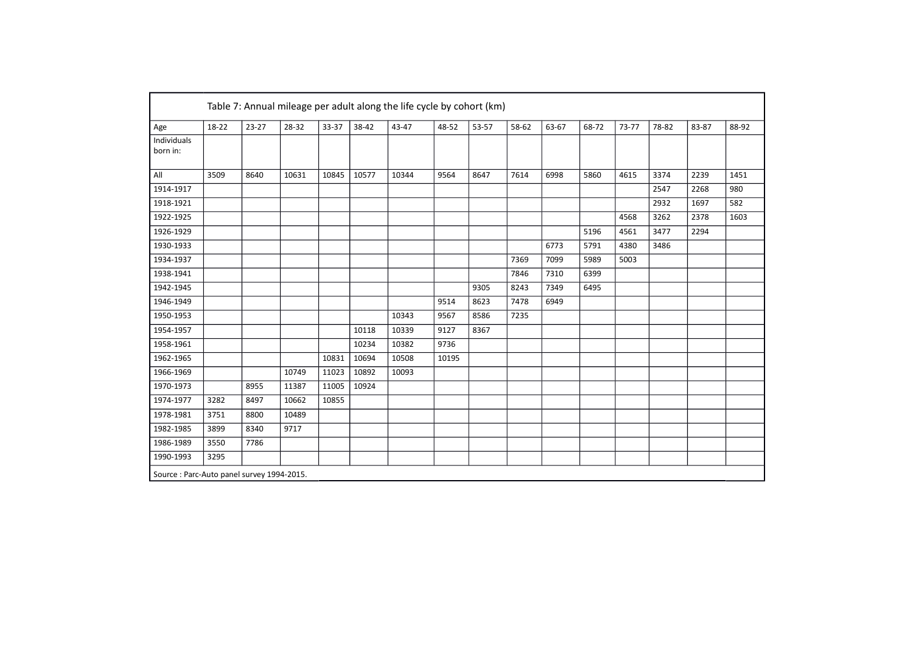|                    | 18-22 | $23 - 27$ | 28-32 | 33-37 | 38-42 | 43-47 | 48-52 | 53-57 | 58-62 | 63-67 | 68-72 | 73-77 | 78-82 | 83-87 | 88-92 |
|--------------------|-------|-----------|-------|-------|-------|-------|-------|-------|-------|-------|-------|-------|-------|-------|-------|
| Age<br>Individuals |       |           |       |       |       |       |       |       |       |       |       |       |       |       |       |
| born in:           |       |           |       |       |       |       |       |       |       |       |       |       |       |       |       |
| All                | 3509  | 8640      | 10631 | 10845 | 10577 | 10344 | 9564  | 8647  | 7614  | 6998  | 5860  | 4615  | 3374  | 2239  | 1451  |
| 1914-1917          |       |           |       |       |       |       |       |       |       |       |       |       | 2547  | 2268  | 980   |
| 1918-1921          |       |           |       |       |       |       |       |       |       |       |       |       | 2932  | 1697  | 582   |
| 1922-1925          |       |           |       |       |       |       |       |       |       |       |       | 4568  | 3262  | 2378  | 1603  |
| 1926-1929          |       |           |       |       |       |       |       |       |       |       | 5196  | 4561  | 3477  | 2294  |       |
| 1930-1933          |       |           |       |       |       |       |       |       |       | 6773  | 5791  | 4380  | 3486  |       |       |
| 1934-1937          |       |           |       |       |       |       |       |       | 7369  | 7099  | 5989  | 5003  |       |       |       |
| 1938-1941          |       |           |       |       |       |       |       |       | 7846  | 7310  | 6399  |       |       |       |       |
| 1942-1945          |       |           |       |       |       |       |       | 9305  | 8243  | 7349  | 6495  |       |       |       |       |
| 1946-1949          |       |           |       |       |       |       | 9514  | 8623  | 7478  | 6949  |       |       |       |       |       |
| 1950-1953          |       |           |       |       |       | 10343 | 9567  | 8586  | 7235  |       |       |       |       |       |       |
| 1954-1957          |       |           |       |       | 10118 | 10339 | 9127  | 8367  |       |       |       |       |       |       |       |
| 1958-1961          |       |           |       |       | 10234 | 10382 | 9736  |       |       |       |       |       |       |       |       |
| 1962-1965          |       |           |       | 10831 | 10694 | 10508 | 10195 |       |       |       |       |       |       |       |       |
| 1966-1969          |       |           | 10749 | 11023 | 10892 | 10093 |       |       |       |       |       |       |       |       |       |
| 1970-1973          |       | 8955      | 11387 | 11005 | 10924 |       |       |       |       |       |       |       |       |       |       |
| 1974-1977          | 3282  | 8497      | 10662 | 10855 |       |       |       |       |       |       |       |       |       |       |       |
| 1978-1981          | 3751  | 8800      | 10489 |       |       |       |       |       |       |       |       |       |       |       |       |
| 1982-1985          | 3899  | 8340      | 9717  |       |       |       |       |       |       |       |       |       |       |       |       |
| 1986-1989          | 3550  | 7786      |       |       |       |       |       |       |       |       |       |       |       |       |       |
| 1990-1993          | 3295  |           |       |       |       |       |       |       |       |       |       |       |       |       |       |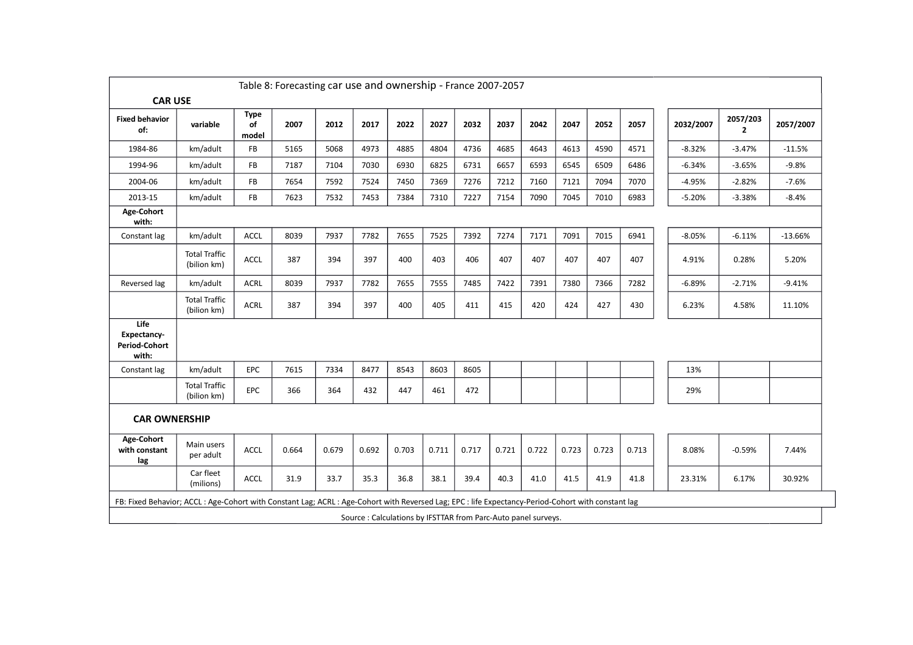|                                                                                                                                                  | Table 8: Forecasting car use and ownership - France 2007-2057 |                            |       |       |                                                               |       |       |       |       |       |       |       |       |           |                          |           |
|--------------------------------------------------------------------------------------------------------------------------------------------------|---------------------------------------------------------------|----------------------------|-------|-------|---------------------------------------------------------------|-------|-------|-------|-------|-------|-------|-------|-------|-----------|--------------------------|-----------|
| <b>CAR USE</b>                                                                                                                                   |                                                               |                            |       |       |                                                               |       |       |       |       |       |       |       |       |           |                          |           |
| <b>Fixed behavior</b><br>of:                                                                                                                     | variable                                                      | <b>Type</b><br>of<br>model | 2007  | 2012  | 2017                                                          | 2022  | 2027  | 2032  | 2037  | 2042  | 2047  | 2052  | 2057  | 2032/2007 | 2057/203<br>$\mathbf{2}$ | 2057/2007 |
| 1984-86                                                                                                                                          | km/adult                                                      | <b>FB</b>                  | 5165  | 5068  | 4973                                                          | 4885  | 4804  | 4736  | 4685  | 4643  | 4613  | 4590  | 4571  | $-8.32%$  | $-3.47%$                 | $-11.5%$  |
| 1994-96                                                                                                                                          | km/adult                                                      | FB                         | 7187  | 7104  | 7030                                                          | 6930  | 6825  | 6731  | 6657  | 6593  | 6545  | 6509  | 6486  | $-6.34%$  | $-3.65%$                 | $-9.8%$   |
| 2004-06                                                                                                                                          | km/adult                                                      | <b>FB</b>                  | 7654  | 7592  | 7524                                                          | 7450  | 7369  | 7276  | 7212  | 7160  | 7121  | 7094  | 7070  | $-4.95%$  | $-2.82%$                 | $-7.6%$   |
| 2013-15                                                                                                                                          | km/adult                                                      | FB                         | 7623  | 7532  | 7453                                                          | 7384  | 7310  | 7227  | 7154  | 7090  | 7045  | 7010  | 6983  | $-5.20%$  | $-3.38%$                 | $-8.4%$   |
| Age-Cohort<br>with:                                                                                                                              |                                                               |                            |       |       |                                                               |       |       |       |       |       |       |       |       |           |                          |           |
| Constant lag                                                                                                                                     | km/adult                                                      | <b>ACCL</b>                | 8039  | 7937  | 7782                                                          | 7655  | 7525  | 7392  | 7274  | 7171  | 7091  | 7015  | 6941  | $-8.05%$  | $-6.11%$                 | $-13.66%$ |
|                                                                                                                                                  | <b>Total Traffic</b><br>(bilion km)                           | ACCL                       | 387   | 394   | 397                                                           | 400   | 403   | 406   | 407   | 407   | 407   | 407   | 407   | 4.91%     | 0.28%                    | 5.20%     |
| Reversed lag                                                                                                                                     | km/adult                                                      | <b>ACRL</b>                | 8039  | 7937  | 7782                                                          | 7655  | 7555  | 7485  | 7422  | 7391  | 7380  | 7366  | 7282  | $-6.89%$  | $-2.71%$                 | $-9.41%$  |
|                                                                                                                                                  | <b>Total Traffic</b><br>(bilion km)                           | ACRL                       | 387   | 394   | 397                                                           | 400   | 405   | 411   | 415   | 420   | 424   | 427   | 430   | 6.23%     | 4.58%                    | 11.10%    |
| Life<br>Expectancy-<br><b>Period-Cohort</b><br>with:                                                                                             |                                                               |                            |       |       |                                                               |       |       |       |       |       |       |       |       |           |                          |           |
| Constant lag                                                                                                                                     | km/adult                                                      | <b>EPC</b>                 | 7615  | 7334  | 8477                                                          | 8543  | 8603  | 8605  |       |       |       |       |       | 13%       |                          |           |
|                                                                                                                                                  | <b>Total Traffic</b><br>(bilion km)                           | <b>EPC</b>                 | 366   | 364   | 432                                                           | 447   | 461   | 472   |       |       |       |       |       | 29%       |                          |           |
| <b>CAR OWNERSHIP</b>                                                                                                                             |                                                               |                            |       |       |                                                               |       |       |       |       |       |       |       |       |           |                          |           |
| Age-Cohort<br>with constant<br>lag                                                                                                               | Main users<br>per adult                                       | <b>ACCL</b>                | 0.664 | 0.679 | 0.692                                                         | 0.703 | 0.711 | 0.717 | 0.721 | 0.722 | 0.723 | 0.723 | 0.713 | 8.08%     | $-0.59%$                 | 7.44%     |
|                                                                                                                                                  | Car fleet<br>(milions)                                        | ACCL                       | 31.9  | 33.7  | 35.3                                                          | 36.8  | 38.1  | 39.4  | 40.3  | 41.0  | 41.5  | 41.9  | 41.8  | 23.31%    | 6.17%                    | 30.92%    |
| FB: Fixed Behavior; ACCL: Age-Cohort with Constant Lag; ACRL: Age-Cohort with Reversed Lag; EPC: life Expectancy-Period-Cohort with constant lag |                                                               |                            |       |       |                                                               |       |       |       |       |       |       |       |       |           |                          |           |
|                                                                                                                                                  |                                                               |                            |       |       | Source: Calculations by IFSTTAR from Parc-Auto panel surveys. |       |       |       |       |       |       |       |       |           |                          |           |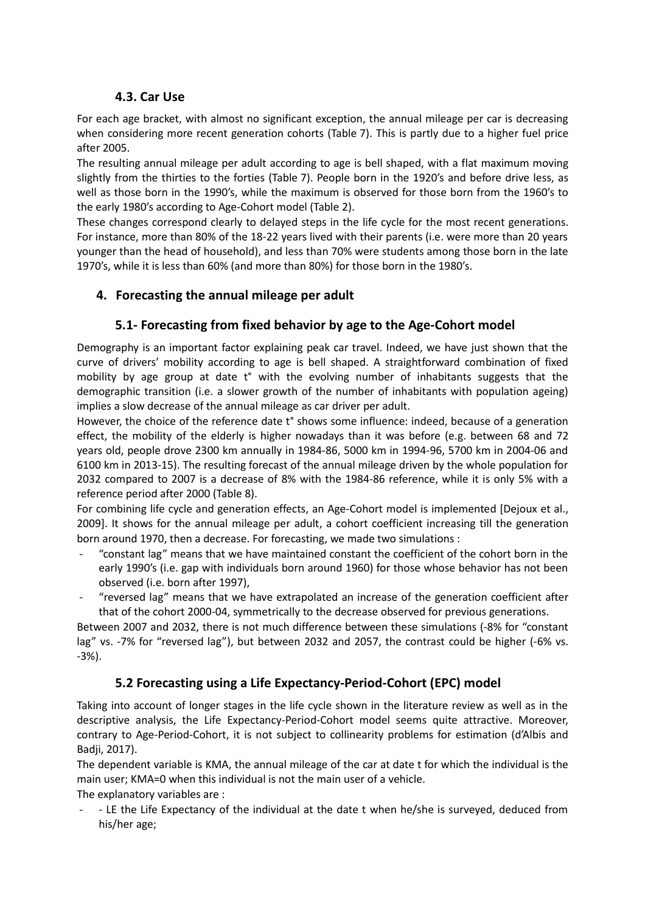# **4.3. Car Use**

For each age bracket, with almost no significant exception, the annual mileage per car is decreasing when considering more recent generation cohorts (Table 7). This is partly due to a higher fuel price after 2005.

The resulting annual mileage per adult according to age is bell shaped, with a flat maximum moving slightly from the thirties to the forties (Table 7). People born in the 1920's and before drive less, as well as those born in the 1990's, while the maximum is observed for those born from the 1960's to the early 1980's according to Age-Cohort model (Table 2).

These changes correspond clearly to delayed steps in the life cycle for the most recent generations. For instance, more than 80% of the 18-22 years lived with their parents (i.e. were more than 20 years younger than the head of household), and less than 70% were students among those born in the late 1970's, while it is less than 60% (and more than 80%) for those born in the 1980's.

# **4. Forecasting the annual mileage per adult**

# **5.1- Forecasting from fixed behavior by age to the Age-Cohort model**

Demography is an important factor explaining peak car travel. Indeed, we have just shown that the curve of drivers' mobility according to age is bell shaped. A straightforward combination of fixed mobility by age group at date t° with the evolving number of inhabitants suggests that the demographic transition (i.e. a slower growth of the number of inhabitants with population ageing) implies a slow decrease of the annual mileage as car driver per adult.

However, the choice of the reference date t° shows some influence: indeed, because of a generation effect, the mobility of the elderly is higher nowadays than it was before (e.g. between 68 and 72 years old, people drove 2300 km annually in 1984-86, 5000 km in 1994-96, 5700 km in 2004-06 and 6100 km in 2013-15). The resulting forecast of the annual mileage driven by the whole population for 2032 compared to 2007 is a decrease of 8% with the 1984-86 reference, while it is only 5% with a reference period after 2000 (Table 8).

For combining life cycle and generation effects, an Age-Cohort model is implemented [Dejoux et al., 2009]. It shows for the annual mileage per adult, a cohort coefficient increasing till the generation born around 1970, then a decrease. For forecasting, we made two simulations :

- "constant lag" means that we have maintained constant the coefficient of the cohort born in the early 1990's (i.e. gap with individuals born around 1960) for those whose behavior has not been observed (i.e. born after 1997),
- "reversed lag" means that we have extrapolated an increase of the generation coefficient after that of the cohort 2000-04, symmetrically to the decrease observed for previous generations.

Between 2007 and 2032, there is not much difference between these simulations (-8% for "constant lag" vs. -7% for "reversed lag"), but between 2032 and 2057, the contrast could be higher (-6% vs. -3%).

# **5.2 Forecasting using a Life Expectancy-Period-Cohort (EPC) model**

Taking into account of longer stages in the life cycle shown in the literature review as well as in the descriptive analysis, the Life Expectancy-Period-Cohort model seems quite attractive. Moreover, contrary to Age-Period-Cohort, it is not subject to collinearity problems for estimation (d'Albis and Badji, 2017).

The dependent variable is KMA, the annual mileage of the car at date t for which the individual is the main user; KMA=0 when this individual is not the main user of a vehicle.

The explanatory variables are :

- - LE the Life Expectancy of the individual at the date t when he/she is surveyed, deduced from his/her age;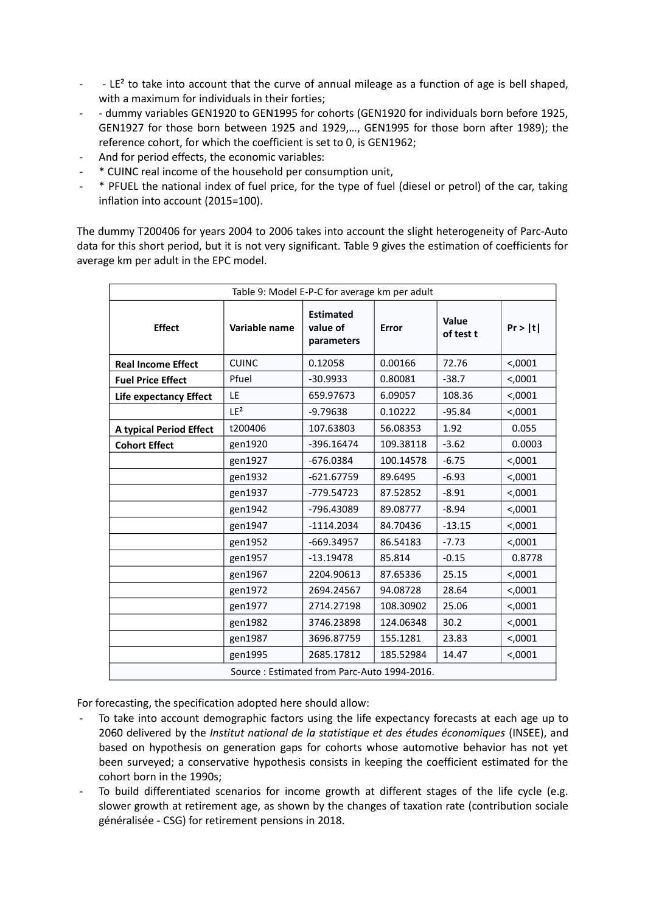- LE<sup>2</sup> to take into account that the curve of annual mileage as a function of age is bell shaped, with a maximum for individuals in their forties;
- - dummy variables GEN1920 to GEN1995 for cohorts (GEN1920 for individuals born before 1925, GEN1927 for those born between 1925 and 1929,…, GEN1995 for those born after 1989); the reference cohort, for which the coefficient is set to 0, is GEN1962;
- And for period effects, the economic variables:
- \* CUINC real income of the household per consumption unit,
- \* PFUEL the national index of fuel price, for the type of fuel (diesel or petrol) of the car, taking inflation into account (2015=100).

The dummy T200406 for years 2004 to 2006 takes into account the slight heterogeneity of Parc-Auto data for this short period, but it is not very significant. Table 9 gives the estimation of coefficients for average km per adult in the EPC model.

| Table 9: Model E-P-C for average km per adult |                                             |                                            |           |                    |          |  |  |  |  |  |  |  |
|-----------------------------------------------|---------------------------------------------|--------------------------------------------|-----------|--------------------|----------|--|--|--|--|--|--|--|
| <b>Effect</b>                                 | Variable name                               | <b>Estimated</b><br>value of<br>parameters | Error     | Value<br>of test t | Pr >  t  |  |  |  |  |  |  |  |
| <b>Real Income Effect</b>                     | <b>CUINC</b>                                | 0.12058                                    | 0.00166   | 72.76              | <,0001   |  |  |  |  |  |  |  |
| <b>Fuel Price Effect</b>                      | Pfuel                                       | $-30.9933$                                 | 0.80081   | $-38.7$            | <,0001   |  |  |  |  |  |  |  |
| <b>Life expectancy Effect</b>                 | LE                                          | 659.97673                                  | 6.09057   | 108.36             | < 0.0001 |  |  |  |  |  |  |  |
|                                               | LE <sup>2</sup>                             | $-9.79638$                                 | 0.10222   | $-95.84$           | < 0.0001 |  |  |  |  |  |  |  |
| <b>A typical Period Effect</b>                | t200406                                     | 107.63803                                  | 56.08353  | 1.92               | 0.055    |  |  |  |  |  |  |  |
| <b>Cohort Effect</b>                          | gen1920                                     | $-396.16474$                               | 109.38118 | $-3.62$            | 0.0003   |  |  |  |  |  |  |  |
|                                               | gen1927                                     | $-676.0384$                                | 100.14578 | $-6.75$            | $0001$   |  |  |  |  |  |  |  |
|                                               | gen1932                                     | $-621.67759$                               | 89.6495   | $-6.93$            | $0001$   |  |  |  |  |  |  |  |
|                                               | gen1937                                     | -779.54723                                 | 87.52852  | $-8.91$            | <,0001   |  |  |  |  |  |  |  |
|                                               | gen1942                                     | -796.43089                                 | 89.08777  | $-8.94$            | $0001$   |  |  |  |  |  |  |  |
|                                               | gen1947                                     | $-1114.2034$                               | 84.70436  | $-13.15$           | $0.001$  |  |  |  |  |  |  |  |
|                                               | gen1952                                     | $-669.34957$                               | 86.54183  | $-7.73$            | <,0001   |  |  |  |  |  |  |  |
|                                               | gen1957                                     | $-13.19478$                                | 85.814    | $-0.15$            | 0.8778   |  |  |  |  |  |  |  |
|                                               | gen1967                                     | 2204.90613                                 | 87.65336  | 25.15              | < 0.0001 |  |  |  |  |  |  |  |
|                                               | gen1972                                     | 2694.24567                                 | 94.08728  | 28.64              | $0001$   |  |  |  |  |  |  |  |
|                                               | gen1977                                     | 2714.27198                                 | 108.30902 | 25.06              | $0001$   |  |  |  |  |  |  |  |
|                                               | gen1982                                     | 3746.23898                                 | 124.06348 | 30.2               | < 0.0001 |  |  |  |  |  |  |  |
|                                               | gen1987                                     | 3696.87759                                 | 155.1281  | 23.83              | <,0001   |  |  |  |  |  |  |  |
|                                               | gen1995                                     | 2685.17812                                 | 185.52984 | 14.47              | $0001$   |  |  |  |  |  |  |  |
|                                               | Source: Estimated from Parc-Auto 1994-2016. |                                            |           |                    |          |  |  |  |  |  |  |  |

For forecasting, the specification adopted here should allow:

- To take into account demographic factors using the life expectancy forecasts at each age up to 2060 delivered by the *Institut national de la statistique et des études économiques* (INSEE), and based on hypothesis on generation gaps for cohorts whose automotive behavior has not yet been surveyed; a conservative hypothesis consists in keeping the coefficient estimated for the cohort born in the 1990s;
- To build differentiated scenarios for income growth at different stages of the life cycle (e.g. slower growth at retirement age, as shown by the changes of taxation rate (contribution sociale généralisée - CSG) for retirement pensions in 2018.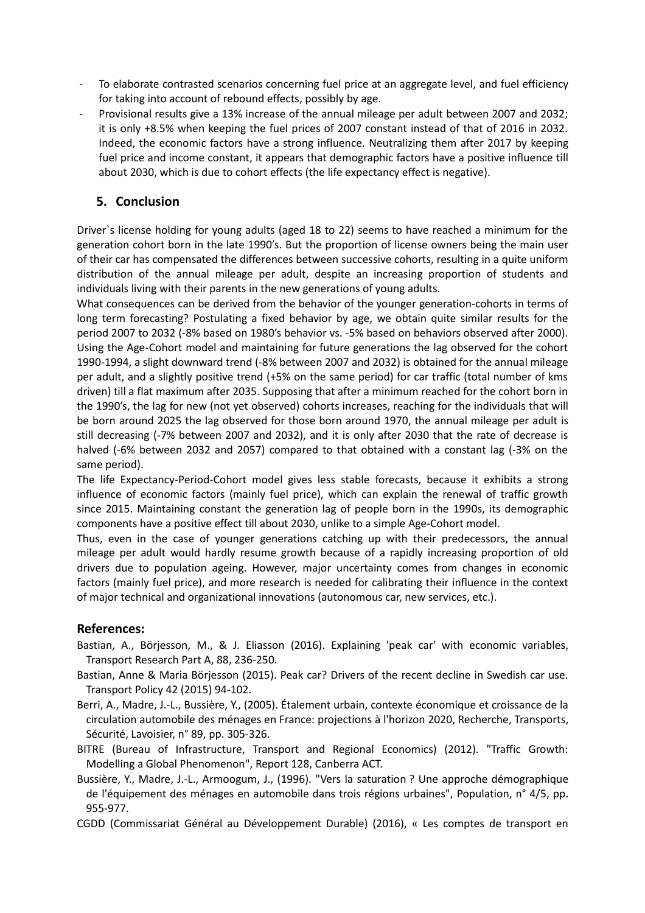- To elaborate contrasted scenarios concerning fuel price at an aggregate level, and fuel efficiency for taking into account of rebound effects, possibly by age.
- Provisional results give a 13% increase of the annual mileage per adult between 2007 and 2032; it is only +8.5% when keeping the fuel prices of 2007 constant instead of that of 2016 in 2032. Indeed, the economic factors have a strong influence. Neutralizing them after 2017 by keeping fuel price and income constant, it appears that demographic factors have a positive influence till about 2030, which is due to cohort effects (the life expectancy effect is negative).

## **5. Conclusion**

Driver`s license holding for young adults (aged 18 to 22) seems to have reached a minimum for the generation cohort born in the late 1990's. But the proportion of license owners being the main user of their car has compensated the differences between successive cohorts, resulting in a quite uniform distribution of the annual mileage per adult, despite an increasing proportion of students and individuals living with their parents in the new generations of young adults.

What consequences can be derived from the behavior of the younger generation-cohorts in terms of long term forecasting? Postulating a fixed behavior by age, we obtain quite similar results for the period 2007 to 2032 (-8% based on 1980's behavior vs. -5% based on behaviors observed after 2000). Using the Age-Cohort model and maintaining for future generations the lag observed for the cohort 1990-1994, a slight downward trend (-8% between 2007 and 2032) is obtained for the annual mileage per adult, and a slightly positive trend (+5% on the same period) for car traffic (total number of kms driven) till a flat maximum after 2035. Supposing that after a minimum reached for the cohort born in the 1990's, the lag for new (not yet observed) cohorts increases, reaching for the individuals that will be born around 2025 the lag observed for those born around 1970, the annual mileage per adult is still decreasing (-7% between 2007 and 2032), and it is only after 2030 that the rate of decrease is halved (-6% between 2032 and 2057) compared to that obtained with a constant lag (-3% on the same period).

The life Expectancy-Period-Cohort model gives less stable forecasts, because it exhibits a strong influence of economic factors (mainly fuel price), which can explain the renewal of traffic growth since 2015. Maintaining constant the generation lag of people born in the 1990s, its demographic components have a positive effect till about 2030, unlike to a simple Age-Cohort model.

Thus, even in the case of younger generations catching up with their predecessors, the annual mileage per adult would hardly resume growth because of a rapidly increasing proportion of old drivers due to population ageing. However, major uncertainty comes from changes in economic factors (mainly fuel price), and more research is needed for calibrating their influence in the context of major technical and organizational innovations (autonomous car, new services, etc.).

#### **References:**

- Bastian, A., Börjesson, M., & J. Eliasson (2016). Explaining 'peak car' with economic variables, Transport Research Part A, 88, 236-250.
- Bastian, Anne & Maria Börjesson (2015). Peak car? Drivers of the recent decline in Swedish car use. Transport Policy 42 (2015) 94-102.
- Berri, A., Madre, J.-L., Bussière, Y., (2005). Étalement urbain, contexte économique et croissance de la circulation automobile des ménages en France: projections à l'horizon 2020, Recherche, Transports, Sécurité, Lavoisier, n° 89, pp. 305-326.
- BITRE (Bureau of Infrastructure, Transport and Regional Economics) (2012). "Traffic Growth: Modelling a Global Phenomenon", Report 128, Canberra ACT.
- Bussière, Y., Madre, J.-L., Armoogum, J., (1996). "Vers la saturation ? Une approche démographique de l'équipement des ménages en automobile dans trois régions urbaines", Population, n° 4/5, pp. 955-977.
- CGDD (Commissariat Général au Développement Durable) (2016), « Les comptes de transport en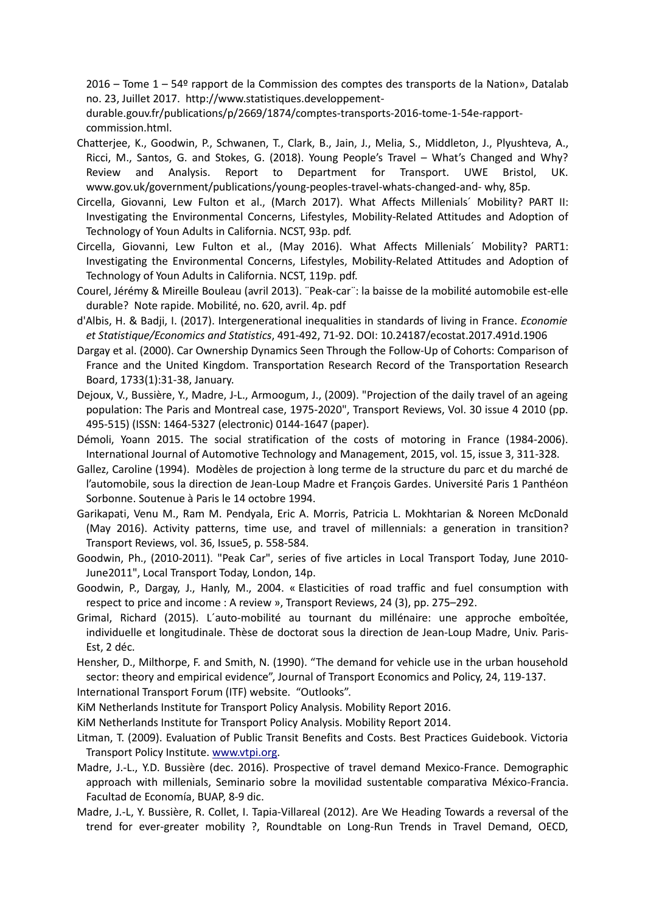2016 – Tome 1 – 54º rapport de la Commission des comptes des transports de la Nation», Datalab no. 23, Juillet 2017. http://www.statistiques.developpement-

durable.gouv.fr/publications/p/2669/1874/comptes-transports-2016-tome-1-54e-rapportcommission.html.

- Chatterjee, K., Goodwin, P., Schwanen, T., Clark, B., Jain, J., Melia, S., Middleton, J., Plyushteva, A., Ricci, M., Santos, G. and Stokes, G. (2018). Young People's Travel – What's Changed and Why? Review and Analysis. Report to Department for Transport. UWE Bristol, UK. www.gov.uk/government/publications/young-peoples-travel-whats-changed-and- why, 85p.
- Circella, Giovanni, Lew Fulton et al., (March 2017). What Affects Millenials´ Mobility? PART II: Investigating the Environmental Concerns, Lifestyles, Mobility-Related Attitudes and Adoption of Technology of Youn Adults in California. NCST, 93p. pdf.
- Circella, Giovanni, Lew Fulton et al., (May 2016). What Affects Millenials´ Mobility? PART1: Investigating the Environmental Concerns, Lifestyles, Mobility-Related Attitudes and Adoption of Technology of Youn Adults in California. NCST, 119p. pdf.
- Courel, Jérémy & Mireille Bouleau (avril 2013). ¨Peak-car¨: la baisse de la mobilité automobile est-elle durable? Note rapide. Mobilité, no. 620, avril. 4p. pdf
- d'Albis, H. & Badji, I. (2017). Intergenerational inequalities in standards of living in France. *Economie et Statistique/Economics and Statistics*, 491-492, 71-92. DOI: 10.24187/ecostat.2017.491d.1906
- Dargay et al. (2000). Car Ownership Dynamics Seen Through the Follow-Up of Cohorts: Comparison of France and the United Kingdom. Transportation Research Record of the Transportation Research Board, 1733(1):31-38, January.
- Dejoux, V., Bussière, Y., Madre, J-L., Armoogum, J., (2009). "Projection of the daily travel of an ageing population: The Paris and Montreal case, 1975-2020", Transport Reviews, Vol. 30 issue 4 2010 (pp. 495-515) (ISSN: 1464-5327 (electronic) 0144-1647 (paper).
- Démoli, Yoann 2015. The social stratification of the costs of motoring in France (1984-2006). International Journal of Automotive Technology and Management, 2015, vol. 15, issue 3, 311-328.
- Gallez, Caroline (1994). Modèles de projection à long terme de la structure du parc et du marché de l'automobile, sous la direction de Jean-Loup Madre et François Gardes. Université Paris 1 Panthéon Sorbonne. Soutenue à Paris le 14 octobre 1994.
- Garikapati, Venu M., Ram M. Pendyala, Eric A. Morris, Patricia L. Mokhtarian & Noreen McDonald (May 2016). Activity patterns, time use, and travel of millennials: a generation in transition? Transport Reviews, vol. 36, Issue5, p. 558-584.
- Goodwin, Ph., (2010-2011). "Peak Car", series of five articles in Local Transport Today, June 2010- June2011", Local Transport Today, London, 14p.
- Goodwin, P., Dargay, J., Hanly, M., 2004. « Elasticities of road traffic and fuel consumption with respect to price and income : A review », Transport Reviews, 24 (3), pp. 275–292.
- Grimal, Richard (2015). L´auto-mobilité au tournant du millénaire: une approche emboîtée, individuelle et longitudinale. Thèse de doctorat sous la direction de Jean-Loup Madre, Univ. Paris-Est, 2 déc.
- Hensher, D., Milthorpe, F. and Smith, N. (1990). "The demand for vehicle use in the urban household sector: theory and empirical evidence", Journal of Transport Economics and Policy, 24, 119-137.

International Transport Forum (ITF) website. "Outlooks".

KiM Netherlands Institute for Transport Policy Analysis. Mobility Report 2016.

- KiM Netherlands Institute for Transport Policy Analysis. Mobility Report 2014.
- Litman, T. (2009). Evaluation of Public Transit Benefits and Costs. Best Practices Guidebook. Victoria Transport Policy Institute. www.vtpi.org.
- Madre, J.-L., Y.D. Bussière (dec. 2016). Prospective of travel demand Mexico-France. Demographic approach with millenials, Seminario sobre la movilidad sustentable comparativa México-Francia. Facultad de Economía, BUAP, 8-9 dic.
- Madre, J.-L, Y. Bussière, R. Collet, I. Tapia-Villareal (2012). Are We Heading Towards a reversal of the trend for ever-greater mobility ?, Roundtable on Long-Run Trends in Travel Demand, OECD,